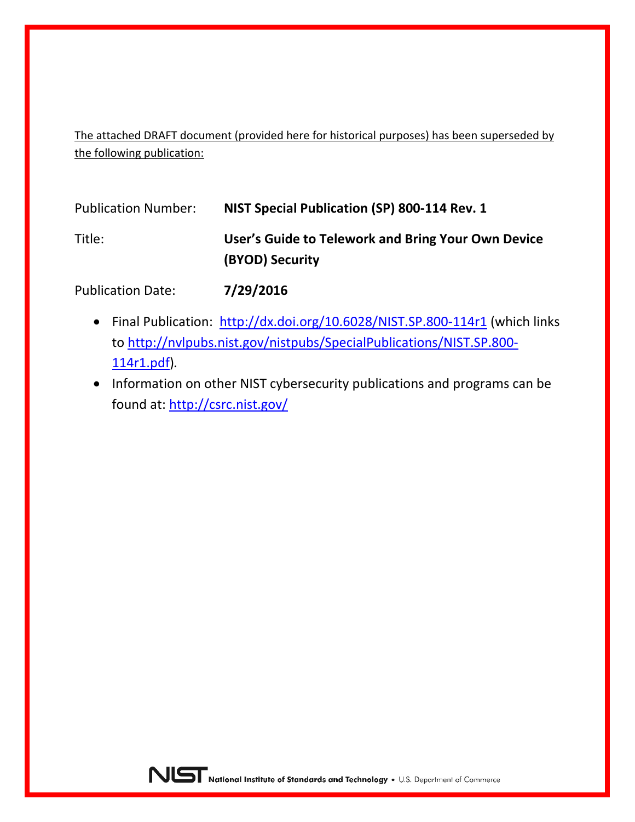The attached DRAFT document (provided here for historical purposes) has been superseded by the following publication:

| <b>Publication Number:</b> | NIST Special Publication (SP) 800-114 Rev. 1                          |
|----------------------------|-----------------------------------------------------------------------|
| Title:                     | User's Guide to Telework and Bring Your Own Device<br>(BYOD) Security |

Publication Date: **7/29/2016**

- Final Publication: <http://dx.doi.org/10.6028/NIST.SP.800-114r1> (which links to [http://nvlpubs.nist.gov/nistpubs/SpecialPublications/NIST.SP.800-](http://nvlpubs.nist.gov/nistpubs/SpecialPublications/NIST.SP.800-114r1.pdf) [114r1.pdf\)](http://nvlpubs.nist.gov/nistpubs/SpecialPublications/NIST.SP.800-114r1.pdf)*.*
- Information on other NIST cybersecurity publications and programs can be found at:<http://csrc.nist.gov/>

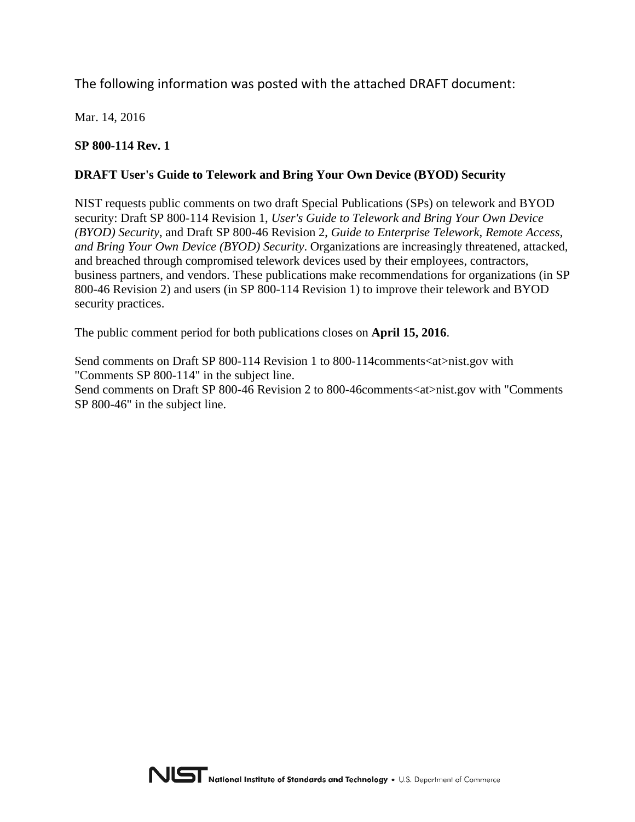# The following information was posted with the attached DRAFT document:

Mar. 14, 2016

## **SP 800-114 Rev. 1**

## **DRAFT User's Guide to Telework and Bring Your Own Device (BYOD) Security**

NIST requests public comments on two draft Special Publications (SPs) on telework and BYOD security: Draft SP 800-114 Revision 1, *User's Guide to Telework and Bring Your Own Device (BYOD) Security*, and Draft SP 800-46 Revision 2, *Guide to Enterprise Telework, Remote Access, and Bring Your Own Device (BYOD) Security*. Organizations are increasingly threatened, attacked, and breached through compromised telework devices used by their employees, contractors, business partners, and vendors. These publications make recommendations for organizations (in SP 800-46 Revision 2) and users (in SP 800-114 Revision 1) to improve their telework and BYOD security practices.

The public comment period for both publications closes on **April 15, 2016**.

Send comments on Draft SP 800-114 Revision 1 to 800-114 comments <at>nist.gov with "Comments SP 800-114" in the subject line.

Send comments on Draft SP 800-46 Revision 2 to 800-46 comments < at >nist.gov with "Comments" SP 800-46" in the subject line.

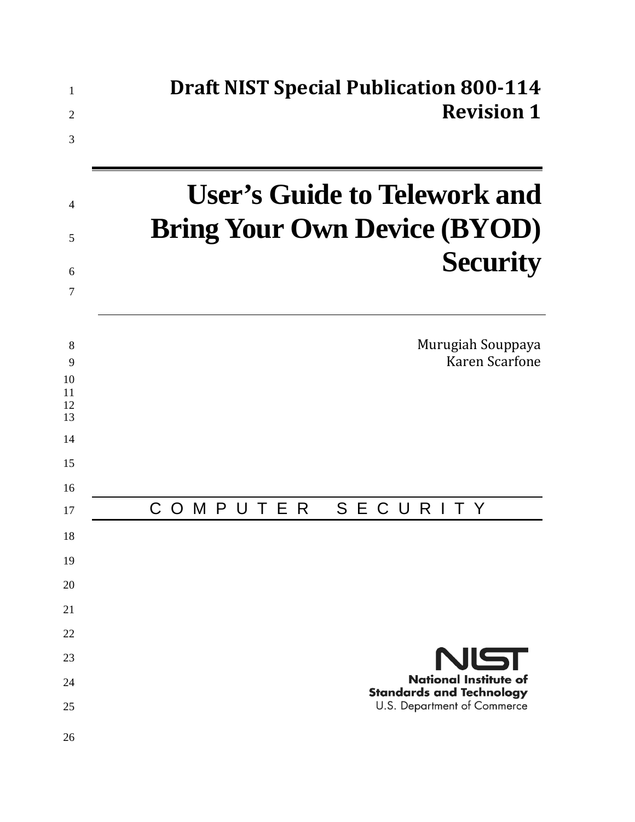| $\mathbf{1}$        | <b>Draft NIST Special Publication 800-114</b>                              |
|---------------------|----------------------------------------------------------------------------|
| $\overline{2}$<br>3 | <b>Revision 1</b>                                                          |
| $\overline{4}$      | <b>User's Guide to Telework and</b><br><b>Bring Your Own Device (BYOD)</b> |
| 5                   |                                                                            |
| 6<br>7              | <b>Security</b>                                                            |
|                     |                                                                            |
| 8<br>9              | Murugiah Souppaya<br><b>Karen Scarfone</b>                                 |
| 10<br>11            |                                                                            |
| 12<br>13            |                                                                            |
| 14                  |                                                                            |
| 15                  |                                                                            |
| 16<br>17            | T E<br>SEC<br>URI<br>MPU<br>-R<br>C<br>T Y<br>$\Omega$                     |
| 18                  |                                                                            |
| 19                  |                                                                            |
| 20                  |                                                                            |
| 21                  |                                                                            |
| 22                  |                                                                            |
| 23                  | NIST                                                                       |
| 24                  | <b>National Institute of</b><br><b>Standards and Technology</b>            |
| 25                  | U.S. Department of Commerce                                                |
| 26                  |                                                                            |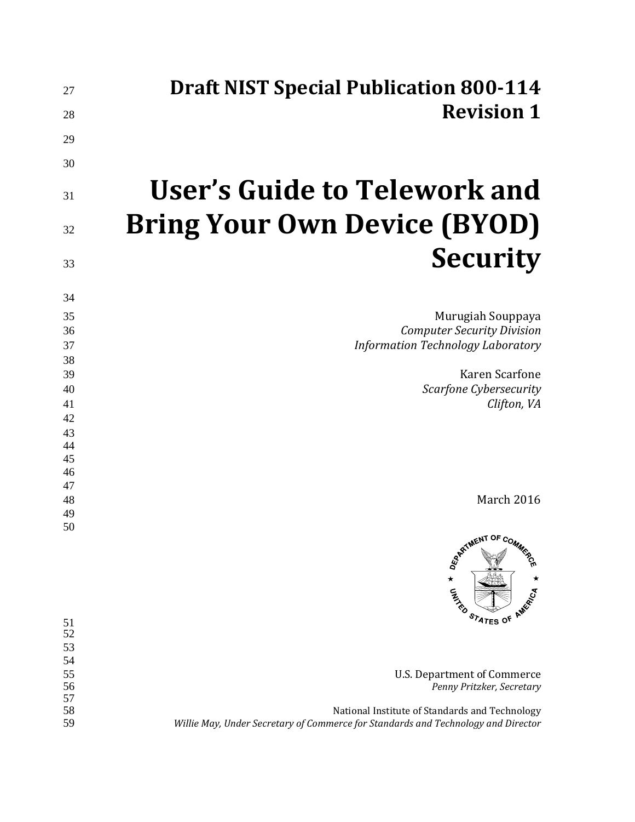| <b>Draft NIST Special Publication 800-114</b>                | 27                 |
|--------------------------------------------------------------|--------------------|
| <b>Revision 1</b>                                            | 28                 |
|                                                              |                    |
|                                                              | 29<br>30           |
| User's Guide to Telework and                                 | 31                 |
| <b>Bring Your Own Device (BYOD)</b>                          | 32                 |
| <b>Security</b>                                              | 33                 |
|                                                              | 34                 |
| Murugiah Souppaya                                            | 35                 |
| <b>Computer Security Division</b>                            | 36                 |
| <b>Information Technology Laboratory</b>                     | 37                 |
|                                                              | 38                 |
| Karen Scarfone                                               | 39                 |
| Scarfone Cybersecurity                                       | 40                 |
| Clifton, VA                                                  | 41                 |
|                                                              | 42                 |
|                                                              | 43<br>44           |
|                                                              | 45                 |
|                                                              | 46                 |
|                                                              | 47                 |
| March 2016                                                   | 48                 |
|                                                              | 49                 |
| ARTIMENT OF COMMES<br>$\star$<br>CATARD<br>STATES OF AMERICA | 50                 |
|                                                              | 51<br>52           |
|                                                              | 53                 |
|                                                              | 54                 |
| <b>U.S. Department of Commerce</b>                           | 55                 |
| Penny Pritzker, Secretary                                    | 56                 |
|                                                              | 57<br>$\epsilon$ o |

 National Institute of Standards and Technology *Willie May, Under Secretary of Commerce for Standards and Technology and Director*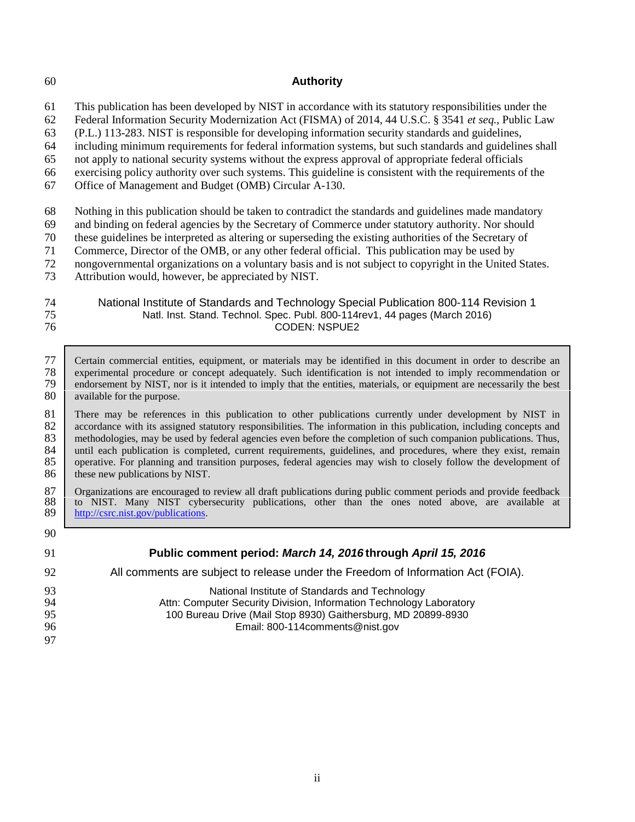#### 60 **Authority**

61 This publication has been developed by NIST in accordance with its statutory responsibilities under the

62 Federal Information Security Modernization Act (FISMA) of 2014, 44 U.S.C. § 3541 *et seq.*, Public Law

63 (P.L.) 113-283. NIST is responsible for developing information security standards and guidelines,

64 including minimum requirements for federal information systems, but such standards and guidelines shall

65 not apply to national security systems without the express approval of appropriate federal officials

66 exercising policy authority over such systems. This guideline is consistent with the requirements of the

67 Office of Management and Budget (OMB) Circular A-130.

68 Nothing in this publication should be taken to contradict the standards and guidelines made mandatory

69 and binding on federal agencies by the Secretary of Commerce under statutory authority. Nor should

70 these guidelines be interpreted as altering or superseding the existing authorities of the Secretary of

71 Commerce, Director of the OMB, or any other federal official. This publication may be used by

72 nongovernmental organizations on a voluntary basis and is not subject to copyright in the United States.<br>73 Attribution would, however, be appreciated by NIST.

Attribution would, however, be appreciated by NIST.

| 74 | National Institute of Standards and Technology Special Publication 800-114 Revision 1 |
|----|---------------------------------------------------------------------------------------|
| 75 | Natl. Inst. Stand. Technol. Spec. Publ. 800-114 rev1, 44 pages (March 2016)           |
| 76 | CODEN: NSPUE2                                                                         |

77 Certain commercial entities, equipment, or materials may be identified in this document in order to describe an experimental procedure or concept adequately. Such identification is not intended to imply recommendation o 78 experimental procedure or concept adequately. Such identification is not intended to imply recommendation or<br>79 endorsement by NIST, nor is it intended to imply that the entities, materials, or equipment are necessarily endorsement by NIST, nor is it intended to imply that the entities, materials, or equipment are necessarily the best 80 available for the purpose.

81 There may be references in this publication to other publications currently under development by NIST in accordance with its assigned statutory responsibilities. The information in this publication, including concepts a accordance with its assigned statutory responsibilities. The information in this publication, including concepts and 83 methodologies, may be used by federal agencies even before the completion of such companion publications. Thus,<br>84 until each publication is completed, current requirements, guidelines, and procedures, where they exist, 84 until each publication is completed, current requirements, guidelines, and procedures, where they exist, remain 85 operative. For planning and transition purposes, federal agencies may wish to closely follow the develop 85 operative. For planning and transition purposes, federal agencies may wish to closely follow the development of 86 these new publications by NIST.

- 87 Organizations are encouraged to review all draft publications during public comment periods and provide feedback<br>88 to NIST. Many NIST cybersecurity publications, other than the ones noted above, are available at 88 to NIST. Many NIST cybersecurity publications, other than the ones noted above, are available at http://csrc.nist.gov/publications. [http://csrc.nist.gov/publications.](http://csrc.nist.gov/publications)
- 90

#### 91 **Public comment period:** *March 14, 2016* **through** *April 15, 2016*

## 92 All comments are subject to release under the Freedom of Information Act (FOIA).

**National Institute of Standards and Technology**<br>94 **Attn: Computer Security Division. Information Technology** Attn: Computer Security Division, Information Technology Laboratory 100 Bureau Drive (Mail Stop 8930) Gaithersburg, MD 20899-8930 Email: 800-114comments@nist.gov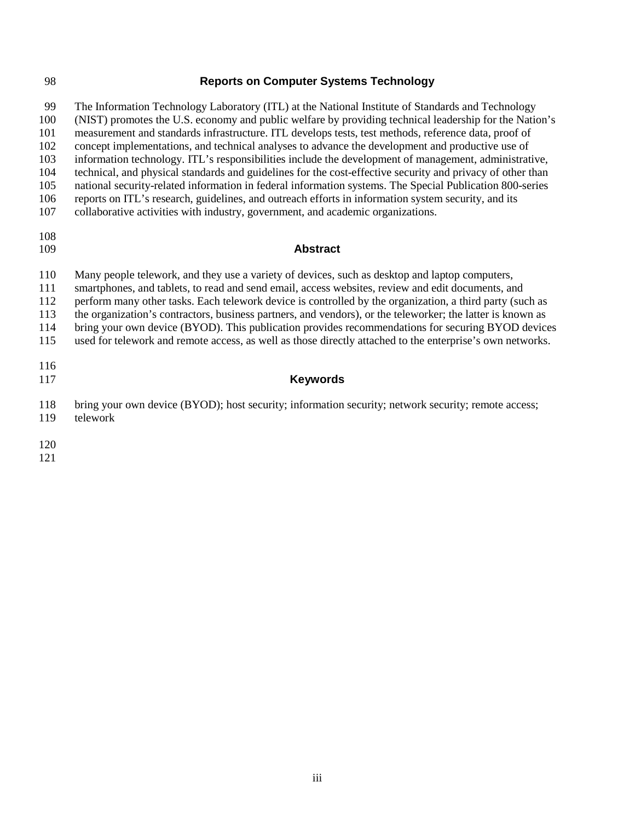#### **Reports on Computer Systems Technology**

 The Information Technology Laboratory (ITL) at the National Institute of Standards and Technology (NIST) promotes the U.S. economy and public welfare by providing technical leadership for the Nation's measurement and standards infrastructure. ITL develops tests, test methods, reference data, proof of concept implementations, and technical analyses to advance the development and productive use of information technology. ITL's responsibilities include the development of management, administrative, technical, and physical standards and guidelines for the cost-effective security and privacy of other than national security-related information in federal information systems. The Special Publication 800-series reports on ITL's research, guidelines, and outreach efforts in information system security, and its collaborative activities with industry, government, and academic organizations. **Abstract** Many people telework, and they use a variety of devices, such as desktop and laptop computers, smartphones, and tablets, to read and send email, access websites, review and edit documents, and

 perform many other tasks. Each telework device is controlled by the organization, a third party (such as the organization's contractors, business partners, and vendors), or the teleworker; the latter is known as

bring your own device (BYOD). This publication provides recommendations for securing BYOD devices

used for telework and remote access, as well as those directly attached to the enterprise's own networks.

## **Keywords**

- bring your own device (BYOD); host security; information security; network security; remote access;
- telework
- 
-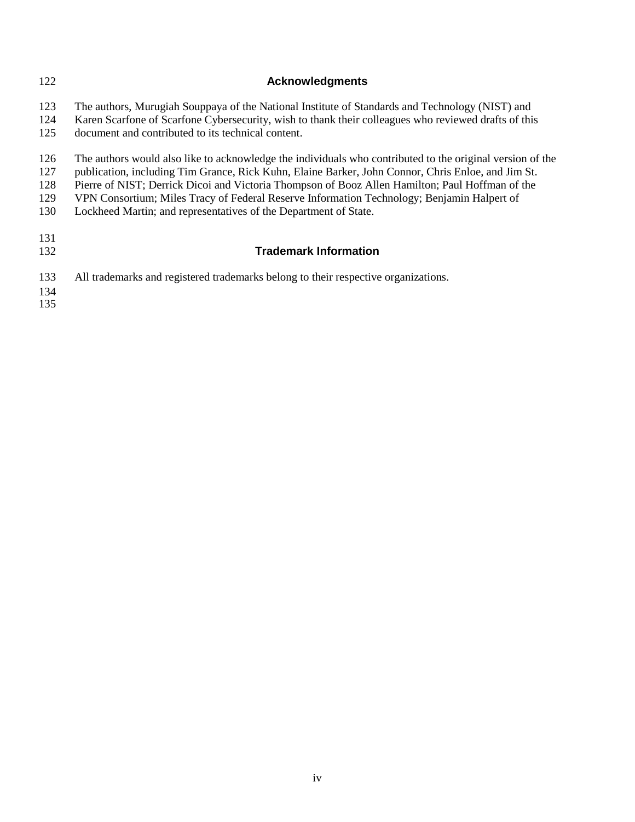| 122 | <b>Acknowledgments</b>                                                                                    |
|-----|-----------------------------------------------------------------------------------------------------------|
| 123 | The authors, Murugiah Souppaya of the National Institute of Standards and Technology (NIST) and           |
| 124 | Karen Scarfone of Scarfone Cybersecurity, wish to thank their colleagues who reviewed drafts of this      |
| 125 | document and contributed to its technical content.                                                        |
| 126 | The authors would also like to acknowledge the individuals who contributed to the original version of the |
| 127 | publication, including Tim Grance, Rick Kuhn, Elaine Barker, John Connor, Chris Enloe, and Jim St.        |
| 128 | Pierre of NIST; Derrick Dicoi and Victoria Thompson of Booz Allen Hamilton; Paul Hoffman of the           |
| 129 | VPN Consortium; Miles Tracy of Federal Reserve Information Technology; Benjamin Halpert of                |
| 130 | Lockheed Martin; and representatives of the Department of State.                                          |
| 131 |                                                                                                           |
| 132 | <b>Trademark Information</b>                                                                              |
| 133 | All trademarks and registered trademarks belong to their respective organizations.                        |
| 134 |                                                                                                           |
| 135 |                                                                                                           |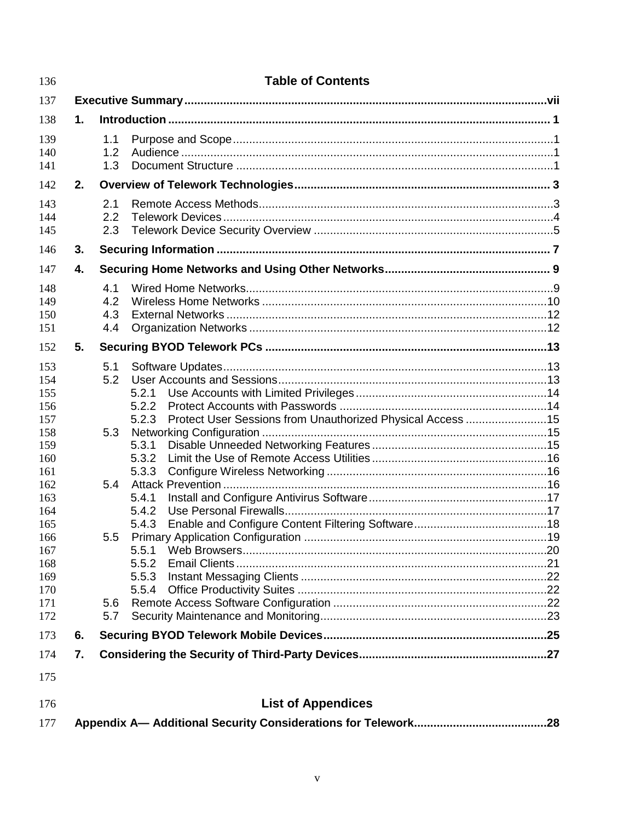| 136        |    | <b>Table of Contents</b>                                            |  |  |
|------------|----|---------------------------------------------------------------------|--|--|
| 137        |    |                                                                     |  |  |
| 138        | 1. |                                                                     |  |  |
| 139        |    | 1.1                                                                 |  |  |
| 140        |    | 1.2                                                                 |  |  |
| 141        |    | 1.3                                                                 |  |  |
| 142        | 2. |                                                                     |  |  |
| 143        |    | 2.1                                                                 |  |  |
| 144        |    | 2.2                                                                 |  |  |
| 145        |    | 2.3                                                                 |  |  |
| 146        | 3. |                                                                     |  |  |
| 147        | 4. |                                                                     |  |  |
| 148        |    | 4.1                                                                 |  |  |
| 149        |    | 4.2                                                                 |  |  |
| 150        |    | 4.3                                                                 |  |  |
| 151        |    | 4.4                                                                 |  |  |
| 152        | 5. |                                                                     |  |  |
| 153        |    | 5.1                                                                 |  |  |
| 154        |    | 5.2                                                                 |  |  |
| 155<br>156 |    | 5.2.1<br>5.2.2                                                      |  |  |
| 157        |    | Protect User Sessions from Unauthorized Physical Access 15<br>5.2.3 |  |  |
| 158        |    | 5.3                                                                 |  |  |
| 159        |    | 5.3.1                                                               |  |  |
| 160        |    | 5.3.2                                                               |  |  |
| 161        |    | 5.3.3                                                               |  |  |
| 162        |    | 5.4                                                                 |  |  |
| 163<br>164 |    | 5.4.1<br>5.4.2                                                      |  |  |
| 165        |    | 5.4.3                                                               |  |  |
| 166        |    | 5.5                                                                 |  |  |
| 167        |    | 5.5.1                                                               |  |  |
| 168        |    | 5.5.2                                                               |  |  |
| 169        |    | 5.5.3                                                               |  |  |
| 170<br>171 |    | 5.6                                                                 |  |  |
| 172        |    | 5.7                                                                 |  |  |
| 173        | 6. |                                                                     |  |  |
| 174        | 7. |                                                                     |  |  |
| 175        |    |                                                                     |  |  |
| 176        |    | <b>List of Appendices</b>                                           |  |  |
| 177        |    |                                                                     |  |  |

 $\overline{\mathbf{v}}$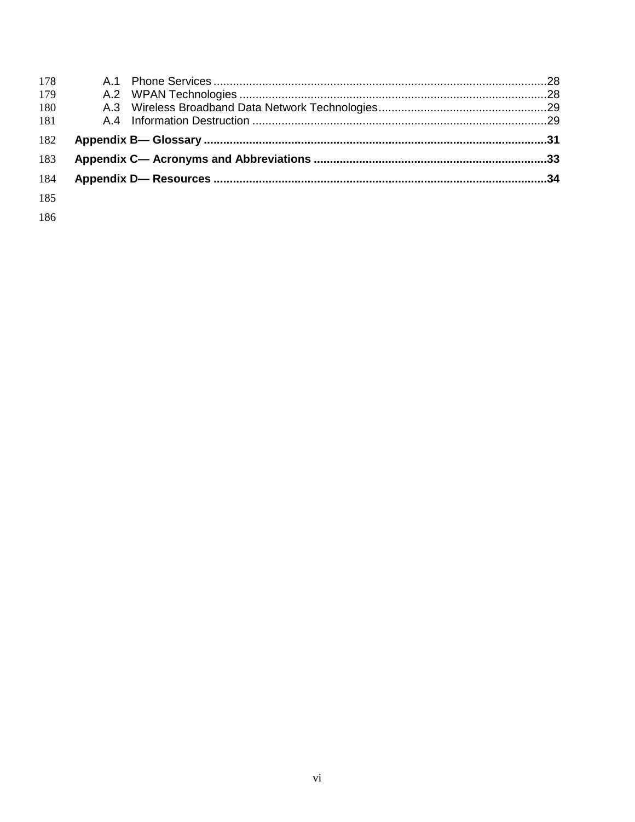| 178 |  |  |
|-----|--|--|
| 179 |  |  |
| 180 |  |  |
| 181 |  |  |
| 182 |  |  |
| 183 |  |  |
| 184 |  |  |
| 185 |  |  |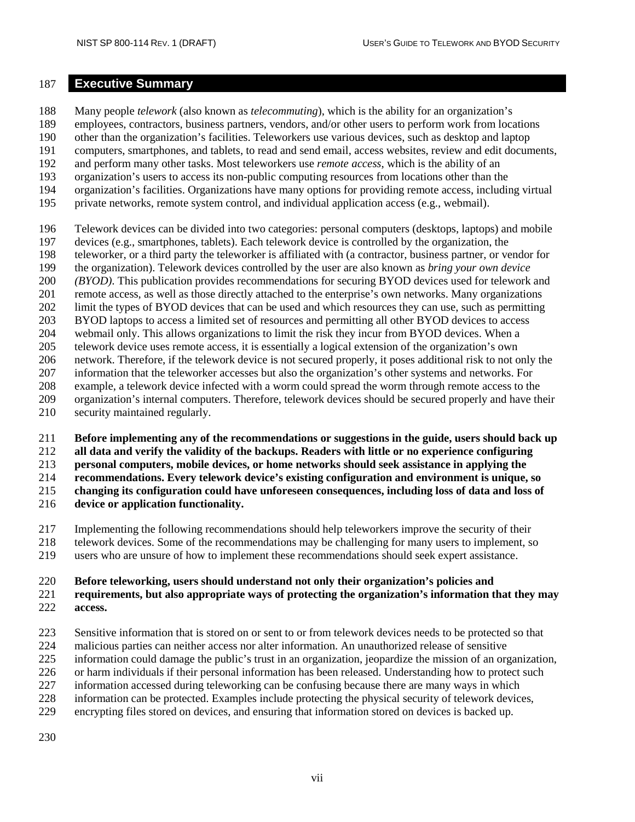#### <span id="page-9-0"></span>**Executive Summary**

 Many people *telework* (also known as *telecommuting*), which is the ability for an organization's employees, contractors, business partners, vendors, and/or other users to perform work from locations other than the organization's facilities. Teleworkers use various devices, such as desktop and laptop computers, smartphones, and tablets, to read and send email, access websites, review and edit documents, and perform many other tasks. Most teleworkers use *remote access*, which is the ability of an organization's users to access its non-public computing resources from locations other than the organization's facilities. Organizations have many options for providing remote access, including virtual private networks, remote system control, and individual application access (e.g., webmail). Telework devices can be divided into two categories: personal computers (desktops, laptops) and mobile devices (e.g., smartphones, tablets). Each telework device is controlled by the organization, the teleworker, or a third party the teleworker is affiliated with (a contractor, business partner, or vendor for the organization). Telework devices controlled by the user are also known as *bring your own device (BYOD)*. This publication provides recommendations for securing BYOD devices used for telework and remote access, as well as those directly attached to the enterprise's own networks. Many organizations limit the types of BYOD devices that can be used and which resources they can use, such as permitting

- BYOD laptops to access a limited set of resources and permitting all other BYOD devices to access
- webmail only. This allows organizations to limit the risk they incur from BYOD devices. When a telework device uses remote access, it is essentially a logical extension of the organization's own
- network. Therefore, if the telework device is not secured properly, it poses additional risk to not only the
- information that the teleworker accesses but also the organization's other systems and networks. For
- example, a telework device infected with a worm could spread the worm through remote access to the
- organization's internal computers. Therefore, telework devices should be secured properly and have their
- security maintained regularly.
- **Before implementing any of the recommendations or suggestions in the guide, users should back up**
- **all data and verify the validity of the backups. Readers with little or no experience configuring**
- **personal computers, mobile devices, or home networks should seek assistance in applying the**
- **recommendations. Every telework device's existing configuration and environment is unique, so**
- **changing its configuration could have unforeseen consequences, including loss of data and loss of**
- **device or application functionality.**
- Implementing the following recommendations should help teleworkers improve the security of their
- telework devices. Some of the recommendations may be challenging for many users to implement, so
- users who are unsure of how to implement these recommendations should seek expert assistance.

# **Before teleworking, users should understand not only their organization's policies and**

# **requirements, but also appropriate ways of protecting the organization's information that they may access.**

- Sensitive information that is stored on or sent to or from telework devices needs to be protected so that
- malicious parties can neither access nor alter information. An unauthorized release of sensitive
- information could damage the public's trust in an organization, jeopardize the mission of an organization,
- or harm individuals if their personal information has been released. Understanding how to protect such
- information accessed during teleworking can be confusing because there are many ways in which
- information can be protected. Examples include protecting the physical security of telework devices,
- encrypting files stored on devices, and ensuring that information stored on devices is backed up.
-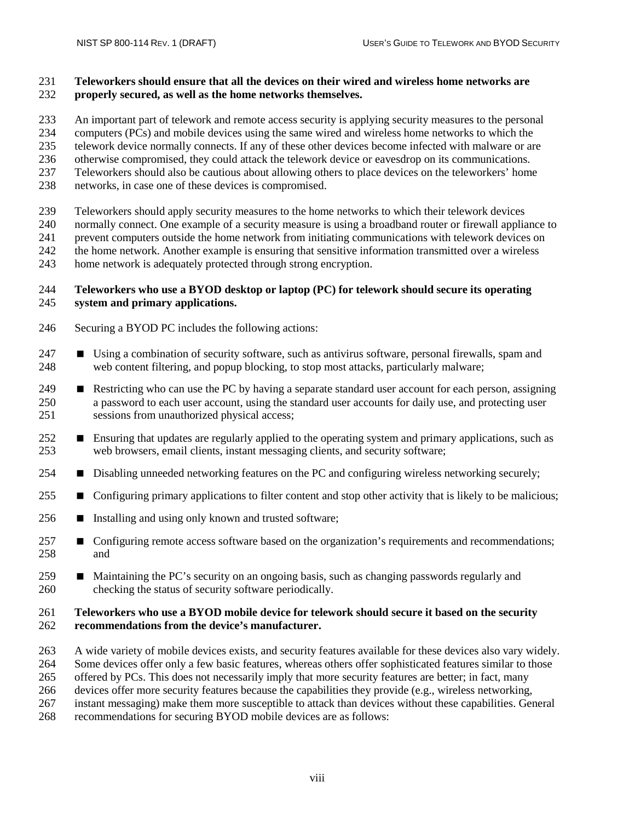#### **Teleworkers should ensure that all the devices on their wired and wireless home networks are properly secured, as well as the home networks themselves.**

 An important part of telework and remote access security is applying security measures to the personal computers (PCs) and mobile devices using the same wired and wireless home networks to which the

telework device normally connects. If any of these other devices become infected with malware or are

otherwise compromised, they could attack the telework device or eavesdrop on its communications.

Teleworkers should also be cautious about allowing others to place devices on the teleworkers' home

networks, in case one of these devices is compromised.

Teleworkers should apply security measures to the home networks to which their telework devices

normally connect. One example of a security measure is using a broadband router or firewall appliance to

prevent computers outside the home network from initiating communications with telework devices on

the home network. Another example is ensuring that sensitive information transmitted over a wireless

home network is adequately protected through strong encryption.

#### **Teleworkers who use a BYOD desktop or laptop (PC) for telework should secure its operating system and primary applications.**

- Securing a BYOD PC includes the following actions:
- **Using a combination of security software, such as antivirus software, personal firewalls, spam and** web content filtering, and popup blocking, to stop most attacks, particularly malware;
- **Restricting who can use the PC by having a separate standard user account for each person, assigning**  a password to each user account, using the standard user accounts for daily use, and protecting user sessions from unauthorized physical access;
- **E** Ensuring that updates are regularly applied to the operating system and primary applications, such as web browsers, email clients, instant messaging clients, and security software;
- **Disabling unneeded networking features on the PC and configuring wireless networking securely;**
- 255 Configuring primary applications to filter content and stop other activity that is likely to be malicious;
- 256  $\blacksquare$  Installing and using only known and trusted software;
- **Configuring remote access software based on the organization's requirements and recommendations;** and
- 259 Maintaining the PC's security on an ongoing basis, such as changing passwords regularly and checking the status of security software periodically.

#### **Teleworkers who use a BYOD mobile device for telework should secure it based on the security recommendations from the device's manufacturer.**

- A wide variety of mobile devices exists, and security features available for these devices also vary widely.
- Some devices offer only a few basic features, whereas others offer sophisticated features similar to those
- offered by PCs. This does not necessarily imply that more security features are better; in fact, many

devices offer more security features because the capabilities they provide (e.g., wireless networking,

instant messaging) make them more susceptible to attack than devices without these capabilities. General

recommendations for securing BYOD mobile devices are as follows: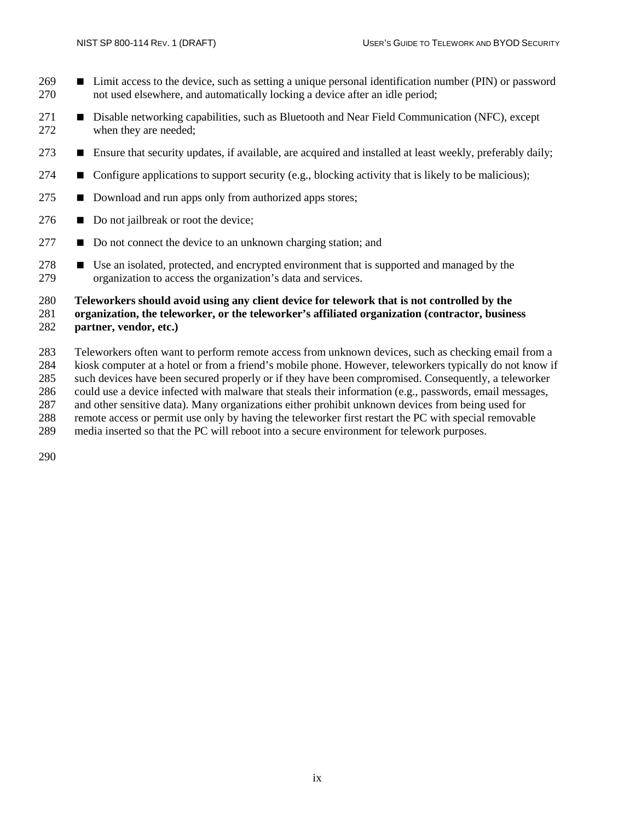- **EX** Limit access to the device, such as setting a unique personal identification number (PIN) or password not used elsewhere, and automatically locking a device after an idle period;
- **Disable networking capabilities, such as Bluetooth and Near Field Communication (NFC), except** when they are needed;
- **E** Ensure that security updates, if available, are acquired and installed at least weekly, preferably daily;
- 274  $\blacksquare$  Configure applications to support security (e.g., blocking activity that is likely to be malicious);
- 275  $\blacksquare$  Download and run apps only from authorized apps stores;
- Do not jailbreak or root the device;
- **D** Do not connect the device to an unknown charging station; and
- 278 Use an isolated, protected, and encrypted environment that is supported and managed by the organization to access the organization's data and services.

#### **Teleworkers should avoid using any client device for telework that is not controlled by the**

#### **organization, the teleworker, or the teleworker's affiliated organization (contractor, business partner, vendor, etc.)**

 Teleworkers often want to perform remote access from unknown devices, such as checking email from a kiosk computer at a hotel or from a friend's mobile phone. However, teleworkers typically do not know if

such devices have been secured properly or if they have been compromised. Consequently, a teleworker

- could use a device infected with malware that steals their information (e.g., passwords, email messages,
- and other sensitive data). Many organizations either prohibit unknown devices from being used for
- remote access or permit use only by having the teleworker first restart the PC with special removable
- media inserted so that the PC will reboot into a secure environment for telework purposes.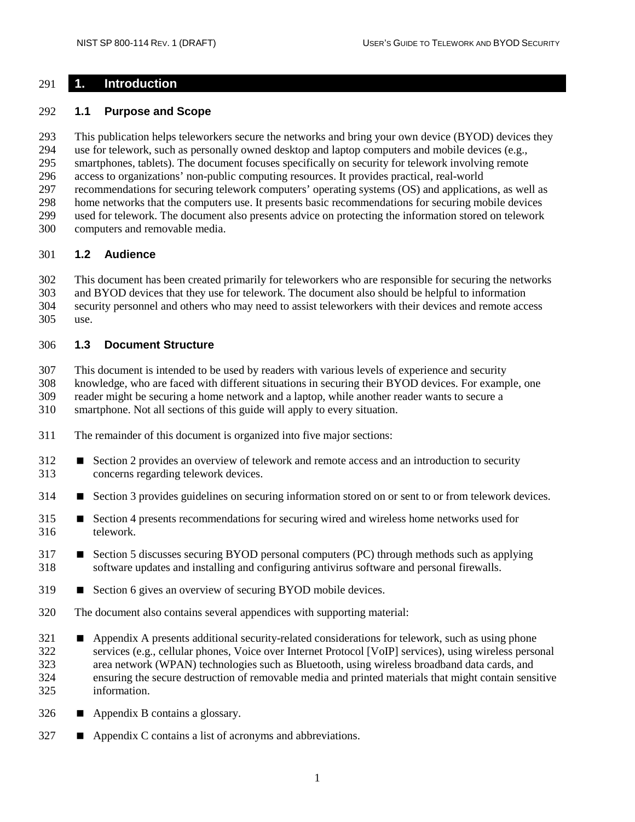#### <span id="page-12-0"></span>**1. Introduction**

#### <span id="page-12-1"></span>**1.1 Purpose and Scope**

 This publication helps teleworkers secure the networks and bring your own device (BYOD) devices they use for telework, such as personally owned desktop and laptop computers and mobile devices (e.g., smartphones, tablets). The document focuses specifically on security for telework involving remote access to organizations' non-public computing resources. It provides practical, real-world recommendations for securing telework computers' operating systems (OS) and applications, as well as home networks that the computers use. It presents basic recommendations for securing mobile devices used for telework. The document also presents advice on protecting the information stored on telework computers and removable media.

#### <span id="page-12-2"></span>**1.2 Audience**

 This document has been created primarily for teleworkers who are responsible for securing the networks and BYOD devices that they use for telework. The document also should be helpful to information security personnel and others who may need to assist teleworkers with their devices and remote access

use.

#### <span id="page-12-3"></span>**1.3 Document Structure**

This document is intended to be used by readers with various levels of experience and security

 knowledge, who are faced with different situations in securing their BYOD devices. For example, one reader might be securing a home network and a laptop, while another reader wants to secure a

smartphone. Not all sections of this guide will apply to every situation.

- The remainder of this document is organized into five major sections:
- 312 Section 2 provides an overview of telework and remote access and an introduction to security concerns regarding telework devices.
- 314 Section 3 provides guidelines on securing information stored on or sent to or from telework devices.
- 315 Section 4 presents recommendations for securing wired and wireless home networks used for telework.
- **Section 5 discusses securing BYOD personal computers (PC) through methods such as applying** software updates and installing and configuring antivirus software and personal firewalls.
- 319 Section 6 gives an overview of securing BYOD mobile devices.
- The document also contains several appendices with supporting material:
- **Appendix A presents additional security-related considerations for telework, such as using phone**  services (e.g., cellular phones, Voice over Internet Protocol [VoIP] services), using wireless personal area network (WPAN) technologies such as Bluetooth, using wireless broadband data cards, and ensuring the secure destruction of removable media and printed materials that might contain sensitive information.
- Appendix B contains a glossary.
- **Appendix C contains a list of acronyms and abbreviations.**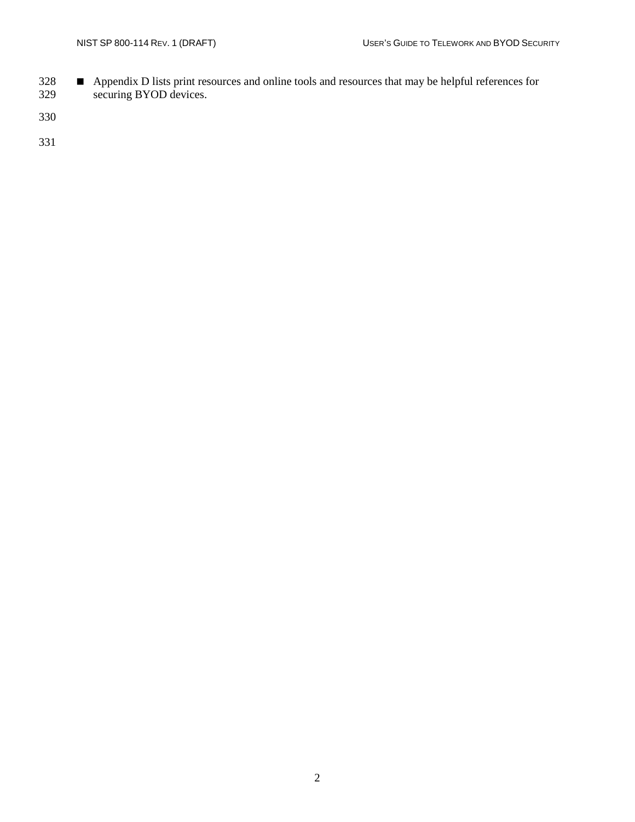**Appendix D** lists print resources and online tools and resources that may be helpful references for securing BYOD devices.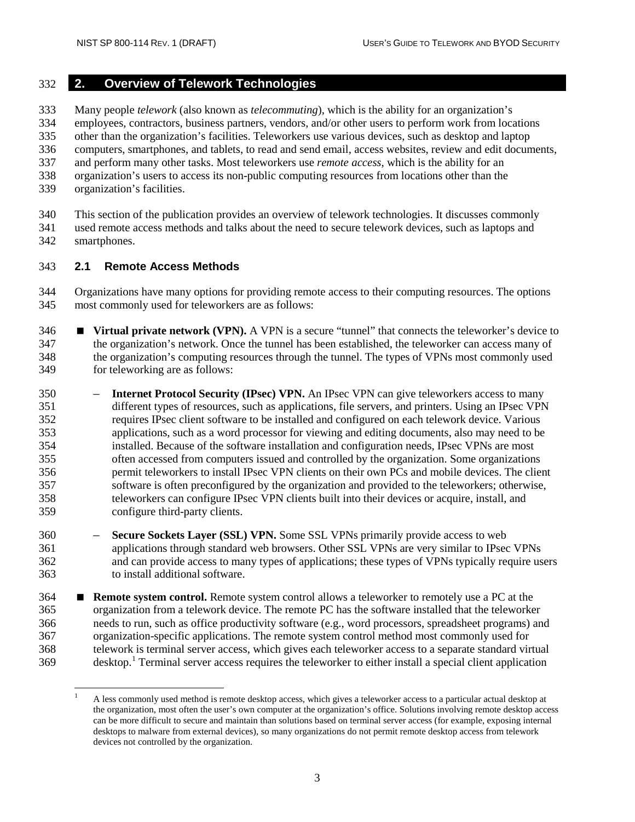#### <span id="page-14-0"></span>**2. Overview of Telework Technologies**

Many people *telework* (also known as *telecommuting*), which is the ability for an organization's

employees, contractors, business partners, vendors, and/or other users to perform work from locations

other than the organization's facilities. Teleworkers use various devices, such as desktop and laptop

computers, smartphones, and tablets, to read and send email, access websites, review and edit documents,

- and perform many other tasks. Most teleworkers use *remote access*, which is the ability for an
- organization's users to access its non-public computing resources from locations other than the
- organization's facilities.

 This section of the publication provides an overview of telework technologies. It discusses commonly used remote access methods and talks about the need to secure telework devices, such as laptops and smartphones.

#### <span id="page-14-1"></span>**2.1 Remote Access Methods**

 Organizations have many options for providing remote access to their computing resources. The options most commonly used for teleworkers are as follows:

- **Virtual private network (VPN).** A VPN is a secure "tunnel" that connects the teleworker's device to the organization's network. Once the tunnel has been established, the teleworker can access many of the organization's computing resources through the tunnel. The types of VPNs most commonly used for teleworking are as follows:
- **Internet Protocol Security (IPsec) VPN.** An IPsec VPN can give teleworkers access to many different types of resources, such as applications, file servers, and printers. Using an IPsec VPN requires IPsec client software to be installed and configured on each telework device. Various applications, such as a word processor for viewing and editing documents, also may need to be installed. Because of the software installation and configuration needs, IPsec VPNs are most often accessed from computers issued and controlled by the organization. Some organizations permit teleworkers to install IPsec VPN clients on their own PCs and mobile devices. The client software is often preconfigured by the organization and provided to the teleworkers; otherwise, teleworkers can configure IPsec VPN clients built into their devices or acquire, install, and configure third-party clients.
- **Secure Sockets Layer (SSL) VPN.** Some SSL VPNs primarily provide access to web applications through standard web browsers. Other SSL VPNs are very similar to IPsec VPNs and can provide access to many types of applications; these types of VPNs typically require users to install additional software.
- **Remote system control.** Remote system control allows a teleworker to remotely use a PC at the organization from a telework device. The remote PC has the software installed that the teleworker needs to run, such as office productivity software (e.g., word processors, spreadsheet programs) and organization-specific applications. The remote system control method most commonly used for telework is terminal server access, which gives each teleworker access to a separate standard virtual desktop.<sup>[1](#page-14-2)</sup> Terminal server access requires the teleworker to either install a special client application

<span id="page-14-2"></span> <sup>A</sup> less commonly used method is remote desktop access, which gives a teleworker access to a particular actual desktop at the organization, most often the user's own computer at the organization's office. Solutions involving remote desktop access can be more difficult to secure and maintain than solutions based on terminal server access (for example, exposing internal desktops to malware from external devices), so many organizations do not permit remote desktop access from telework devices not controlled by the organization.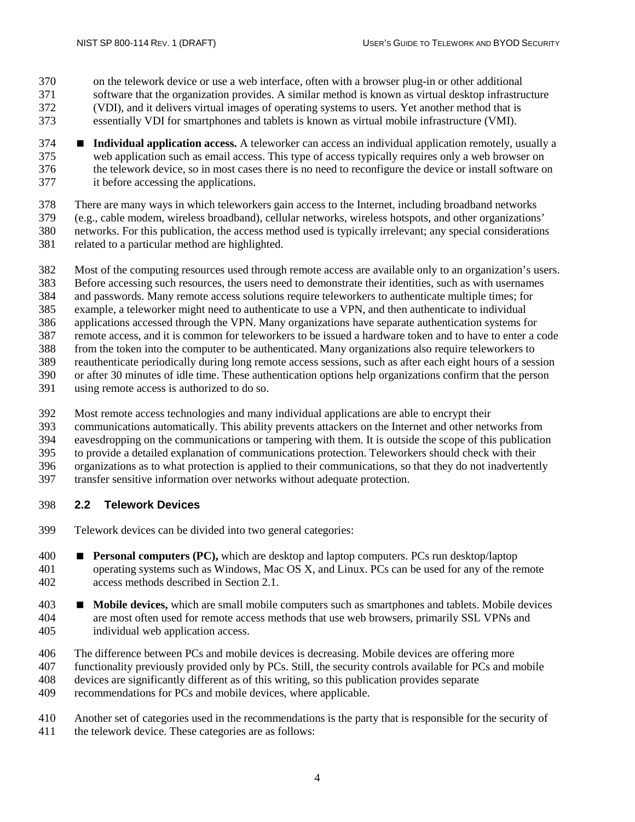- on the telework device or use a web interface, often with a browser plug-in or other additional software that the organization provides. A similar method is known as virtual desktop infrastructure
- (VDI), and it delivers virtual images of operating systems to users. Yet another method that is
- essentially VDI for smartphones and tablets is known as virtual mobile infrastructure (VMI).
- **Individual application access.** A teleworker can access an individual application remotely, usually a web application such as email access. This type of access typically requires only a web browser on the telework device, so in most cases there is no need to reconfigure the device or install software on it before accessing the applications.
- There are many ways in which teleworkers gain access to the Internet, including broadband networks
- (e.g., cable modem, wireless broadband), cellular networks, wireless hotspots, and other organizations'
- networks. For this publication, the access method used is typically irrelevant; any special considerations
- related to a particular method are highlighted.
- Most of the computing resources used through remote access are available only to an organization's users.
- Before accessing such resources, the users need to demonstrate their identities, such as with usernames
- and passwords. Many remote access solutions require teleworkers to authenticate multiple times; for
- example, a teleworker might need to authenticate to use a VPN, and then authenticate to individual
- applications accessed through the VPN. Many organizations have separate authentication systems for
- remote access, and it is common for teleworkers to be issued a hardware token and to have to enter a code
- from the token into the computer to be authenticated. Many organizations also require teleworkers to
- reauthenticate periodically during long remote access sessions, such as after each eight hours of a session
- or after 30 minutes of idle time. These authentication options help organizations confirm that the person
- using remote access is authorized to do so.
- Most remote access technologies and many individual applications are able to encrypt their
- communications automatically. This ability prevents attackers on the Internet and other networks from
- eavesdropping on the communications or tampering with them. It is outside the scope of this publication
- to provide a detailed explanation of communications protection. Teleworkers should check with their
- organizations as to what protection is applied to their communications, so that they do not inadvertently
- transfer sensitive information over networks without adequate protection.

# <span id="page-15-0"></span>**2.2 Telework Devices**

- Telework devices can be divided into two general categories:
- **Personal computers (PC),** which are desktop and laptop computers. PCs run desktop/laptop operating systems such as Windows, Mac OS X, and Linux. PCs can be used for any of the remote access methods described in Section 2.1.
- **Mobile devices,** which are small mobile computers such as smartphones and tablets. Mobile devices are most often used for remote access methods that use web browsers, primarily SSL VPNs and individual web application access.
- The difference between PCs and mobile devices is decreasing. Mobile devices are offering more
- functionality previously provided only by PCs. Still, the security controls available for PCs and mobile
- devices are significantly different as of this writing, so this publication provides separate
- recommendations for PCs and mobile devices, where applicable.
- Another set of categories used in the recommendations is the party that is responsible for the security of
- the telework device. These categories are as follows: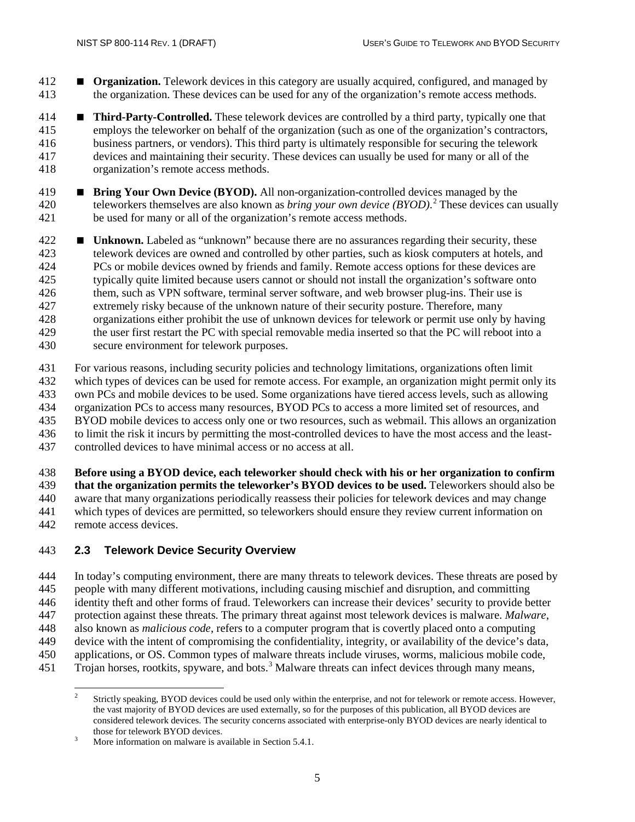- **Organization.** Telework devices in this category are usually acquired, configured, and managed by the organization. These devices can be used for any of the organization's remote access methods.
- **Third-Party-Controlled.** These telework devices are controlled by a third party, typically one that employs the teleworker on behalf of the organization (such as one of the organization's contractors, business partners, or vendors). This third party is ultimately responsible for securing the telework devices and maintaining their security. These devices can usually be used for many or all of the organization's remote access methods.
- **Bring Your Own Device (BYOD).** All non-organization-controlled devices managed by the 4[2](#page-16-1)0 teleworkers themselves are also known as *bring your own device* (*BYOD*).<sup>2</sup> These devices can usually be used for many or all of the organization's remote access methods.
- **Unknown.** Labeled as "unknown" because there are no assurances regarding their security, these telework devices are owned and controlled by other parties, such as kiosk computers at hotels, and 424 PCs or mobile devices owned by friends and family. Remote access options for these devices are<br>425 typically quite limited because users cannot or should not install the organization's software onto typically quite limited because users cannot or should not install the organization's software onto them, such as VPN software, terminal server software, and web browser plug-ins. Their use is extremely risky because of the unknown nature of their security posture. Therefore, many organizations either prohibit the use of unknown devices for telework or permit use only by having the user first restart the PC with special removable media inserted so that the PC will reboot into a secure environment for telework purposes.
- For various reasons, including security policies and technology limitations, organizations often limit which types of devices can be used for remote access. For example, an organization might permit only its own PCs and mobile devices to be used. Some organizations have tiered access levels, such as allowing organization PCs to access many resources, BYOD PCs to access a more limited set of resources, and BYOD mobile devices to access only one or two resources, such as webmail. This allows an organization to limit the risk it incurs by permitting the most-controlled devices to have the most access and the least-
- controlled devices to have minimal access or no access at all.

**Before using a BYOD device, each teleworker should check with his or her organization to confirm** 

 **that the organization permits the teleworker's BYOD devices to be used.** Teleworkers should also be aware that many organizations periodically reassess their policies for telework devices and may change which types of devices are permitted, so teleworkers should ensure they review current information on

remote access devices.

#### <span id="page-16-0"></span>**2.3 Telework Device Security Overview**

 In today's computing environment, there are many threats to telework devices. These threats are posed by people with many different motivations, including causing mischief and disruption, and committing identity theft and other forms of fraud. Teleworkers can increase their devices' security to provide better protection against these threats. The primary threat against most telework devices is malware. *Malware*, also known as *malicious code*, refers to a computer program that is covertly placed onto a computing device with the intent of compromising the confidentiality, integrity, or availability of the device's data, applications, or OS. Common types of malware threats include viruses, worms, malicious mobile code, 451 Trojan horses, rootkits, spyware, and bots.<sup>[3](#page-17-0)</sup> Malware threats can infect devices through many means,

<span id="page-16-1"></span> Strictly speaking, BYOD devices could be used only within the enterprise, and not for telework or remote access. However, the vast majority of BYOD devices are used externally, so for the purposes of this publication, all BYOD devices are considered telework devices. The security concerns associated with enterprise-only BYOD devices are nearly identical to those for telework BYOD devices.<br>More information on malware is available in Section 5.4.1.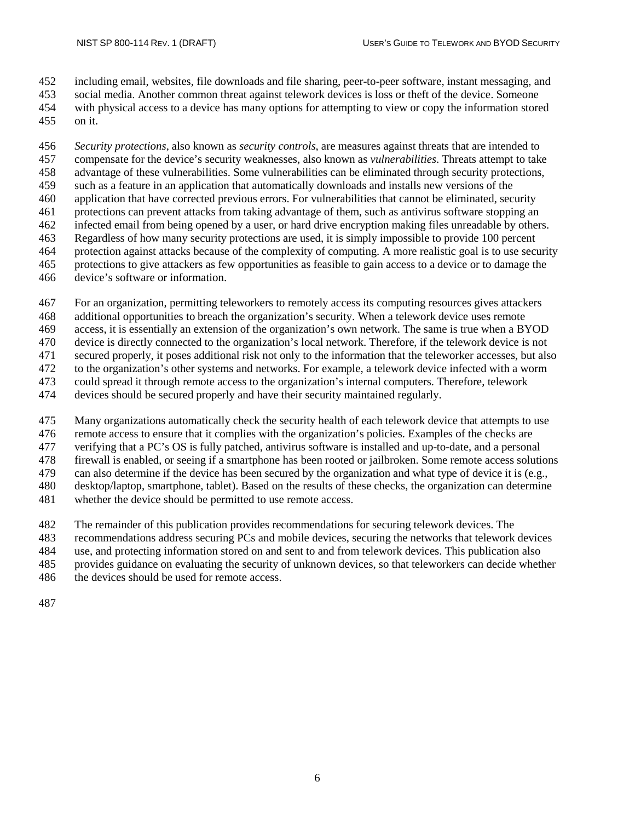including email, websites, file downloads and file sharing, peer-to-peer software, instant messaging, and

 social media. Another common threat against telework devices is loss or theft of the device. Someone with physical access to a device has many options for attempting to view or copy the information stored

on it.

 *Security protections*, also known as *security controls*, are measures against threats that are intended to compensate for the device's security weaknesses, also known as *vulnerabilities*. Threats attempt to take advantage of these vulnerabilities. Some vulnerabilities can be eliminated through security protections, such as a feature in an application that automatically downloads and installs new versions of the application that have corrected previous errors. For vulnerabilities that cannot be eliminated, security protections can prevent attacks from taking advantage of them, such as antivirus software stopping an infected email from being opened by a user, or hard drive encryption making files unreadable by others. Regardless of how many security protections are used, it is simply impossible to provide 100 percent protection against attacks because of the complexity of computing. A more realistic goal is to use security protections to give attackers as few opportunities as feasible to gain access to a device or to damage the device's software or information.

- For an organization, permitting teleworkers to remotely access its computing resources gives attackers
- additional opportunities to breach the organization's security. When a telework device uses remote
- access, it is essentially an extension of the organization's own network. The same is true when a BYOD
- device is directly connected to the organization's local network. Therefore, if the telework device is not

secured properly, it poses additional risk not only to the information that the teleworker accesses, but also

- to the organization's other systems and networks. For example, a telework device infected with a worm
- could spread it through remote access to the organization's internal computers. Therefore, telework
- devices should be secured properly and have their security maintained regularly.
- Many organizations automatically check the security health of each telework device that attempts to use
- remote access to ensure that it complies with the organization's policies. Examples of the checks are verifying that a PC's OS is fully patched, antivirus software is installed and up-to-date, and a personal
- firewall is enabled, or seeing if a smartphone has been rooted or jailbroken. Some remote access solutions
- can also determine if the device has been secured by the organization and what type of device it is (e.g.,
- desktop/laptop, smartphone, tablet). Based on the results of these checks, the organization can determine
- whether the device should be permitted to use remote access.
- The remainder of this publication provides recommendations for securing telework devices. The
- recommendations address securing PCs and mobile devices, securing the networks that telework devices
- use, and protecting information stored on and sent to and from telework devices. This publication also
- provides guidance on evaluating the security of unknown devices, so that teleworkers can decide whether
- the devices should be used for remote access.
- <span id="page-17-0"></span>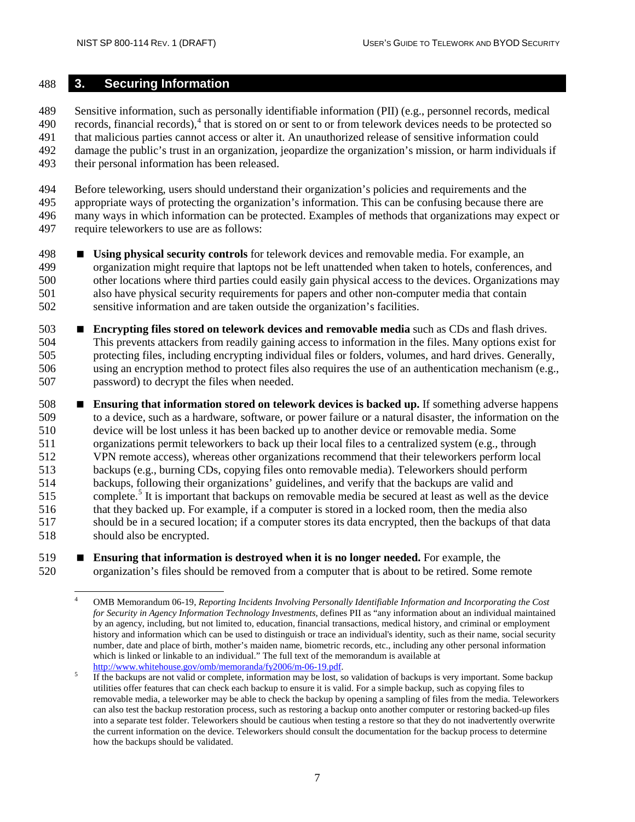#### <span id="page-18-0"></span>**3. Securing Information**

 Sensitive information, such as personally identifiable information (PII) (e.g., personnel records, medical  $1490$  $1490$  records, financial records),  $4$  that is stored on or sent to or from telework devices needs to be protected so that malicious parties cannot access or alter it. An unauthorized release of sensitive information could damage the public's trust in an organization, jeopardize the organization's mission, or harm individuals if their personal information has been released.

 Before teleworking, users should understand their organization's policies and requirements and the appropriate ways of protecting the organization's information. This can be confusing because there are many ways in which information can be protected. Examples of methods that organizations may expect or require teleworkers to use are as follows:

- **Using physical security controls** for telework devices and removable media. For example, an organization might require that laptops not be left unattended when taken to hotels, conferences, and other locations where third parties could easily gain physical access to the devices. Organizations may also have physical security requirements for papers and other non-computer media that contain sensitive information and are taken outside the organization's facilities.
- **Encrypting files stored on telework devices and removable media** such as CDs and flash drives. This prevents attackers from readily gaining access to information in the files. Many options exist for protecting files, including encrypting individual files or folders, volumes, and hard drives. Generally, using an encryption method to protect files also requires the use of an authentication mechanism (e.g., password) to decrypt the files when needed.
- **Ensuring that information stored on telework devices is backed up.** If something adverse happens to a device, such as a hardware, software, or power failure or a natural disaster, the information on the device will be lost unless it has been backed up to another device or removable media. Some organizations permit teleworkers to back up their local files to a centralized system (e.g., through VPN remote access), whereas other organizations recommend that their teleworkers perform local backups (e.g., burning CDs, copying files onto removable media). Teleworkers should perform backups, following their organizations' guidelines, and verify that the backups are valid and 15 complete.<sup>5</sup> It is important that backups on removable media be secured at least as well as the device that they backed up. For example, if a computer is stored in a locked room, then the media also should be in a secured location; if a computer stores its data encrypted, then the backups of that data should also be encrypted.
- <span id="page-18-1"></span> **Ensuring that information is destroyed when it is no longer needed.** For example, the organization's files should be removed from a computer that is about to be retired. Some remote

 OMB Memorandum 06-19, *Reporting Incidents Involving Personally Identifiable Information and Incorporating the Cost for Security in Agency Information Technology Investments,* defines PII as "any information about an individual maintained by an agency, including, but not limited to, education, financial transactions, medical history, and criminal or employment history and information which can be used to distinguish or trace an individual's identity, such as their name, social security number, date and place of birth, mother's maiden name, biometric records, etc., including any other personal information which is linked or linkable to an individual." The full text of the memorandum is available at  $\frac{http://www.whitehouse.gov/omb/memoranda/fy2006/m-06-19.pdf.}$ 

<span id="page-18-2"></span><sup>&</sup>lt;sup>5</sup> If the backups are not valid or complete, information may be lost, so validation of backups is very important. Some backup utilities offer features that can check each backup to ensure it is valid. For a simple backup, such as copying files to removable media, a teleworker may be able to check the backup by opening a sampling of files from the media. Teleworkers can also test the backup restoration process, such as restoring a backup onto another computer or restoring backed-up files into a separate test folder. Teleworkers should be cautious when testing a restore so that they do not inadvertently overwrite the current information on the device. Teleworkers should consult the documentation for the backup process to determine how the backups should be validated.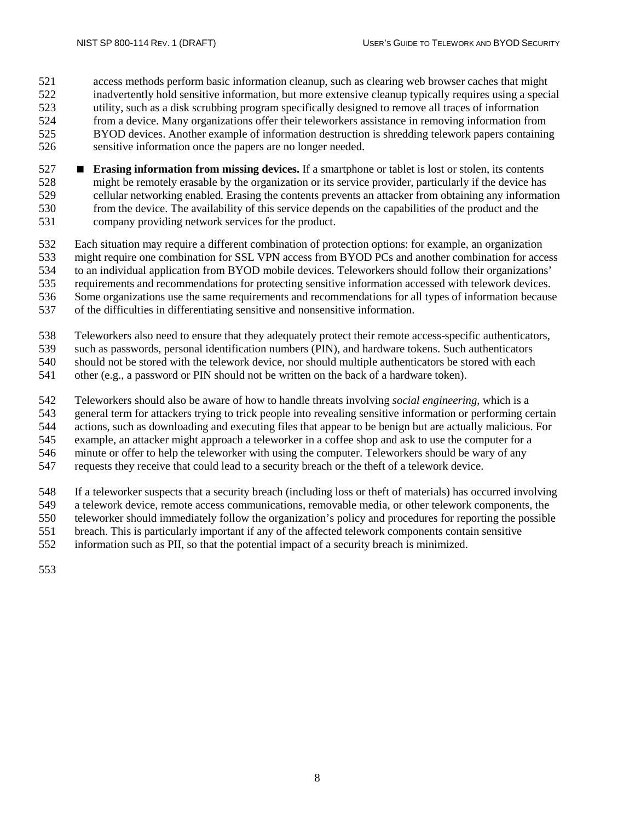access methods perform basic information cleanup, such as clearing web browser caches that might inadvertently hold sensitive information, but more extensive cleanup typically requires using a special utility, such as a disk scrubbing program specifically designed to remove all traces of information from a device. Many organizations offer their teleworkers assistance in removing information from BYOD devices. Another example of information destruction is shredding telework papers containing sensitive information once the papers are no longer needed.

- **Erasing information from missing devices.** If a smartphone or tablet is lost or stolen, its contents might be remotely erasable by the organization or its service provider, particularly if the device has cellular networking enabled. Erasing the contents prevents an attacker from obtaining any information from the device. The availability of this service depends on the capabilities of the product and the company providing network services for the product.
- Each situation may require a different combination of protection options: for example, an organization

533 might require one combination for SSL VPN access from BYOD PCs and another combination for access<br>534 to an individual application from BYOD mobile devices. Teleworkers should follow their organizations'

to an individual application from BYOD mobile devices. Teleworkers should follow their organizations'

requirements and recommendations for protecting sensitive information accessed with telework devices.

Some organizations use the same requirements and recommendations for all types of information because

- of the difficulties in differentiating sensitive and nonsensitive information.
- Teleworkers also need to ensure that they adequately protect their remote access-specific authenticators,

such as passwords, personal identification numbers (PIN), and hardware tokens. Such authenticators

should not be stored with the telework device, nor should multiple authenticators be stored with each

other (e.g., a password or PIN should not be written on the back of a hardware token).

Teleworkers should also be aware of how to handle threats involving *social engineering*, which is a

general term for attackers trying to trick people into revealing sensitive information or performing certain

actions, such as downloading and executing files that appear to be benign but are actually malicious. For

example, an attacker might approach a teleworker in a coffee shop and ask to use the computer for a

minute or offer to help the teleworker with using the computer. Teleworkers should be wary of any

requests they receive that could lead to a security breach or the theft of a telework device.

If a teleworker suspects that a security breach (including loss or theft of materials) has occurred involving

a telework device, remote access communications, removable media, or other telework components, the

 teleworker should immediately follow the organization's policy and procedures for reporting the possible breach. This is particularly important if any of the affected telework components contain sensitive

information such as PII, so that the potential impact of a security breach is minimized.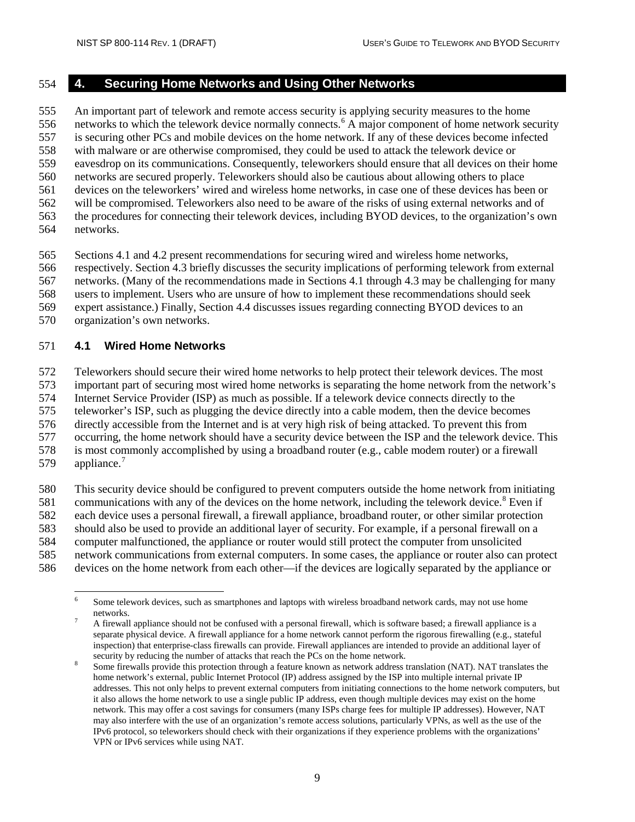## <span id="page-20-0"></span>**4. Securing Home Networks and Using Other Networks**

 An important part of telework and remote access security is applying security measures to the home [6](#page-20-2) networks to which the telework device normally connects.<sup>6</sup> A major component of home network security is securing other PCs and mobile devices on the home network. If any of these devices become infected with malware or are otherwise compromised, they could be used to attack the telework device or eavesdrop on its communications. Consequently, teleworkers should ensure that all devices on their home networks are secured properly. Teleworkers should also be cautious about allowing others to place devices on the teleworkers' wired and wireless home networks, in case one of these devices has been or will be compromised. Teleworkers also need to be aware of the risks of using external networks and of the procedures for connecting their telework devices, including BYOD devices, to the organization's own networks.

Sections 4.1 and 4.2 present recommendations for securing wired and wireless home networks,

respectively. Section 4.3 briefly discusses the security implications of performing telework from external

networks. (Many of the recommendations made in Sections 4.1 through 4.3 may be challenging for many

users to implement. Users who are unsure of how to implement these recommendations should seek

expert assistance.) Finally, Section 4.4 discusses issues regarding connecting BYOD devices to an

organization's own networks.

## <span id="page-20-1"></span>**4.1 Wired Home Networks**

Teleworkers should secure their wired home networks to help protect their telework devices. The most

important part of securing most wired home networks is separating the home network from the network's

Internet Service Provider (ISP) as much as possible. If a telework device connects directly to the

teleworker's ISP, such as plugging the device directly into a cable modem, then the device becomes

directly accessible from the Internet and is at very high risk of being attacked. To prevent this from

occurring, the home network should have a security device between the ISP and the telework device. This

is most commonly accomplished by using a broadband router (e.g., cable modem router) or a firewall

[7](#page-20-3)9 appliance.<sup>7</sup>

This security device should be configured to prevent computers outside the home network from initiating

[8](#page-20-4)1 communications with any of the devices on the home network, including the telework device.<sup>8</sup> Even if

each device uses a personal firewall, a firewall appliance, broadband router, or other similar protection

should also be used to provide an additional layer of security. For example, if a personal firewall on a

computer malfunctioned, the appliance or router would still protect the computer from unsolicited

network communications from external computers. In some cases, the appliance or router also can protect

<span id="page-20-3"></span><span id="page-20-2"></span>devices on the home network from each other—if the devices are logically separated by the appliance or

<sup>&</sup>lt;sup>6</sup> Some telework devices, such as smartphones and laptops with wireless broadband network cards, may not use home networks.<br><sup>7</sup> A firewall appliance should not be confused with a personal firewall, which is software based; a firewall appliance is a

separate physical device. A firewall appliance for a home network cannot perform the rigorous firewalling (e.g., stateful inspection) that enterprise-class firewalls can provide. Firewall appliances are intended to provide an additional layer of security by reducing the number of attacks that reach the PCs on the home network.

<span id="page-20-4"></span>Some firewalls provide this protection through a feature known as network address translation (NAT). NAT translates the home network's external, public Internet Protocol (IP) address assigned by the ISP into multiple internal private IP addresses. This not only helps to prevent external computers from initiating connections to the home network computers, but it also allows the home network to use a single public IP address, even though multiple devices may exist on the home network. This may offer a cost savings for consumers (many ISPs charge fees for multiple IP addresses). However, NAT may also interfere with the use of an organization's remote access solutions, particularly VPNs, as well as the use of the IPv6 protocol, so teleworkers should check with their organizations if they experience problems with the organizations' VPN or IPv6 services while using NAT.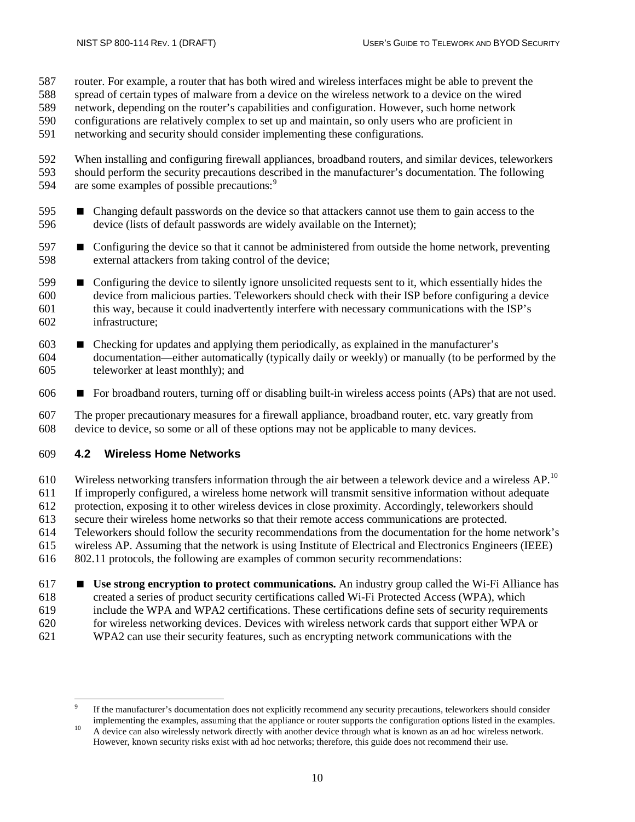- router. For example, a router that has both wired and wireless interfaces might be able to prevent the
- spread of certain types of malware from a device on the wireless network to a device on the wired
- network, depending on the router's capabilities and configuration. However, such home network
- configurations are relatively complex to set up and maintain, so only users who are proficient in
- networking and security should consider implementing these configurations.

592 When installing and configuring firewall appliances, broadband routers, and similar devices, teleworkers<br>593 should perform the security precautions described in the manufacturer's documentation. The following should perform the security precautions described in the manufacturer's documentation. The following [9](#page-21-1)4 are some examples of possible precautions:<sup>9</sup>

- Changing default passwords on the device so that attackers cannot use them to gain access to the device (lists of default passwords are widely available on the Internet);
- Configuring the device so that it cannot be administered from outside the home network, preventing external attackers from taking control of the device;
- Configuring the device to silently ignore unsolicited requests sent to it, which essentially hides the device from malicious parties. Teleworkers should check with their ISP before configuring a device this way, because it could inadvertently interfere with necessary communications with the ISP's infrastructure;
- Checking for updates and applying them periodically, as explained in the manufacturer's documentation—either automatically (typically daily or weekly) or manually (to be performed by the teleworker at least monthly); and
- 606  $\blacksquare$  For broadband routers, turning off or disabling built-in wireless access points (APs) that are not used.

 The proper precautionary measures for a firewall appliance, broadband router, etc. vary greatly from device to device, so some or all of these options may not be applicable to many devices.

#### <span id="page-21-0"></span>**4.2 Wireless Home Networks**

[10](#page-21-2) Wireless networking transfers information through the air between a telework device and a wireless  $AP$ .<sup>10</sup> If improperly configured, a wireless home network will transmit sensitive information without adequate protection, exposing it to other wireless devices in close proximity. Accordingly, teleworkers should secure their wireless home networks so that their remote access communications are protected. Teleworkers should follow the security recommendations from the documentation for the home network's wireless AP. Assuming that the network is using Institute of Electrical and Electronics Engineers (IEEE) 802.11 protocols, the following are examples of common security recommendations:

 **Use strong encryption to protect communications.** An industry group called the Wi-Fi Alliance has created a series of product security certifications called Wi-Fi Protected Access (WPA), which include the WPA and WPA2 certifications. These certifications define sets of security requirements for wireless networking devices. Devices with wireless network cards that support either WPA or WPA2 can use their security features, such as encrypting network communications with the

<span id="page-21-1"></span>If the manufacturer's documentation does not explicitly recommend any security precautions, teleworkers should consider implementing the examples, assuming that the appliance or router supports the configuration options li

<span id="page-21-2"></span><sup>&</sup>lt;sup>10</sup> A device can also wirelessly network directly with another device through what is known as an ad hoc wireless network. However, known security risks exist with ad hoc networks; therefore, this guide does not recommend their use.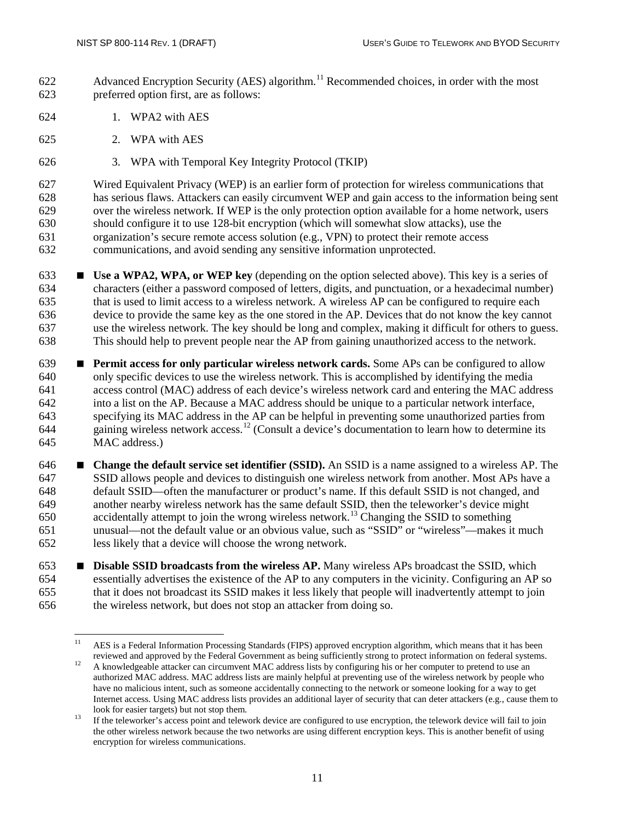- 622 Advanced Encryption Security (AES) algorithm.<sup>[11](#page-22-0)</sup> Recommended choices, in order with the most preferred option first, are as follows:
- 1. WPA2 with AES
- 2. WPA with AES
- 3. WPA with Temporal Key Integrity Protocol (TKIP)

 Wired Equivalent Privacy (WEP) is an earlier form of protection for wireless communications that has serious flaws. Attackers can easily circumvent WEP and gain access to the information being sent over the wireless network. If WEP is the only protection option available for a home network, users should configure it to use 128-bit encryption (which will somewhat slow attacks), use the organization's secure remote access solution (e.g., VPN) to protect their remote access communications, and avoid sending any sensitive information unprotected.

- **Use a WPA2, WPA, or WEP key** (depending on the option selected above). This key is a series of characters (either a password composed of letters, digits, and punctuation, or a hexadecimal number) that is used to limit access to a wireless network. A wireless AP can be configured to require each device to provide the same key as the one stored in the AP. Devices that do not know the key cannot use the wireless network. The key should be long and complex, making it difficult for others to guess. This should help to prevent people near the AP from gaining unauthorized access to the network.
- **Permit access for only particular wireless network cards.** Some APs can be configured to allow only specific devices to use the wireless network. This is accomplished by identifying the media access control (MAC) address of each device's wireless network card and entering the MAC address into a list on the AP. Because a MAC address should be unique to a particular network interface, specifying its MAC address in the AP can be helpful in preventing some unauthorized parties from eaining wireless network access.<sup>[12](#page-22-1)</sup> (Consult a device's documentation to learn how to determine its MAC address.)
- **Change the default service set identifier (SSID).** An SSID is a name assigned to a wireless AP. The SSID allows people and devices to distinguish one wireless network from another. Most APs have a default SSID—often the manufacturer or product's name. If this default SSID is not changed, and another nearby wireless network has the same default SSID, then the teleworker's device might 650  $\alpha$  accidentally attempt to join the wrong wireless network.<sup>[13](#page-22-2)</sup> Changing the SSID to something unusual—not the default value or an obvious value, such as "SSID" or "wireless"—makes it much less likely that a device will choose the wrong network.
- **Disable SSID broadcasts from the wireless AP.** Many wireless APs broadcast the SSID, which essentially advertises the existence of the AP to any computers in the vicinity. Configuring an AP so that it does not broadcast its SSID makes it less likely that people will inadvertently attempt to join the wireless network, but does not stop an attacker from doing so.

<span id="page-22-0"></span><sup>&</sup>lt;sup>11</sup> AES is a Federal Information Processing Standards (FIPS) approved encryption algorithm, which means that it has been reviewed and approved by the Federal Government as being sufficiently strong to protect information

<span id="page-22-1"></span><sup>&</sup>lt;sup>12</sup> A knowledgeable attacker can circumvent MAC address lists by configuring his or her computer to pretend to use an authorized MAC address. MAC address lists are mainly helpful at preventing use of the wireless network by people who have no malicious intent, such as someone accidentally connecting to the network or someone looking for a way to get Internet access. Using MAC address lists provides an additional layer of security that can deter attackers (e.g., cause them to

<span id="page-22-2"></span>look for easier targets) but not stop them.<br>If the teleworker's access point and telework device are configured to use encryption, the telework device will fail to join the other wireless network because the two networks are using different encryption keys. This is another benefit of using encryption for wireless communications.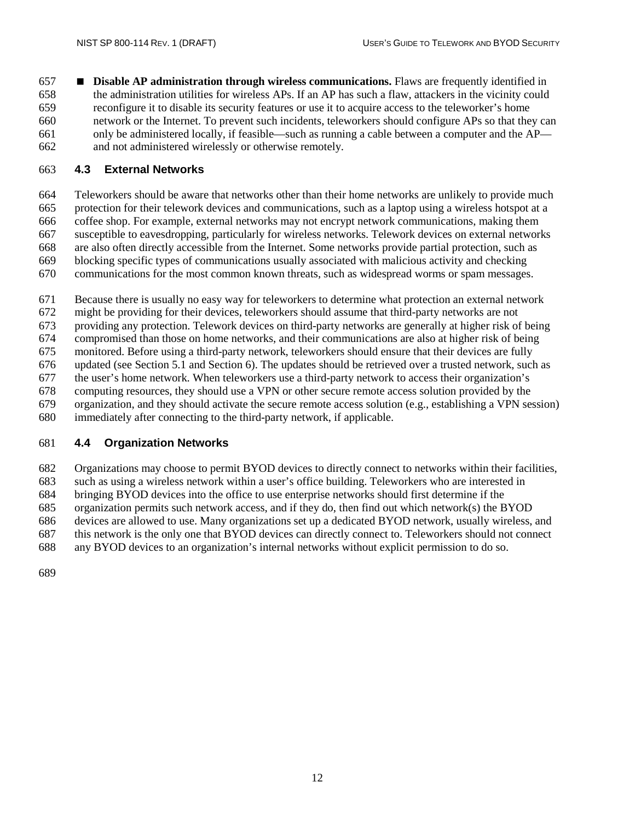**Disable AP administration through wireless communications.** Flaws are frequently identified in the administration utilities for wireless APs. If an AP has such a flaw, attackers in the vicinity could reconfigure it to disable its security features or use it to acquire access to the teleworker's home network or the Internet. To prevent such incidents, teleworkers should configure APs so that they can only be administered locally, if feasible—such as running a cable between a computer and the AP— and not administered wirelessly or otherwise remotely.

#### <span id="page-23-0"></span>**4.3 External Networks**

 Teleworkers should be aware that networks other than their home networks are unlikely to provide much protection for their telework devices and communications, such as a laptop using a wireless hotspot at a coffee shop. For example, external networks may not encrypt network communications, making them susceptible to eavesdropping, particularly for wireless networks. Telework devices on external networks are also often directly accessible from the Internet. Some networks provide partial protection, such as blocking specific types of communications usually associated with malicious activity and checking communications for the most common known threats, such as widespread worms or spam messages.

Because there is usually no easy way for teleworkers to determine what protection an external network

might be providing for their devices, teleworkers should assume that third-party networks are not

providing any protection. Telework devices on third-party networks are generally at higher risk of being

compromised than those on home networks, and their communications are also at higher risk of being

monitored. Before using a third-party network, teleworkers should ensure that their devices are fully

updated (see Section 5.1 and Section 6). The updates should be retrieved over a trusted network, such as

the user's home network. When teleworkers use a third-party network to access their organization's

computing resources, they should use a VPN or other secure remote access solution provided by the

 organization, and they should activate the secure remote access solution (e.g., establishing a VPN session) immediately after connecting to the third-party network, if applicable.

#### <span id="page-23-1"></span>**4.4 Organization Networks**

Organizations may choose to permit BYOD devices to directly connect to networks within their facilities,

such as using a wireless network within a user's office building. Teleworkers who are interested in

bringing BYOD devices into the office to use enterprise networks should first determine if the

organization permits such network access, and if they do, then find out which network(s) the BYOD

devices are allowed to use. Many organizations set up a dedicated BYOD network, usually wireless, and

 this network is the only one that BYOD devices can directly connect to. Teleworkers should not connect any BYOD devices to an organization's internal networks without explicit permission to do so.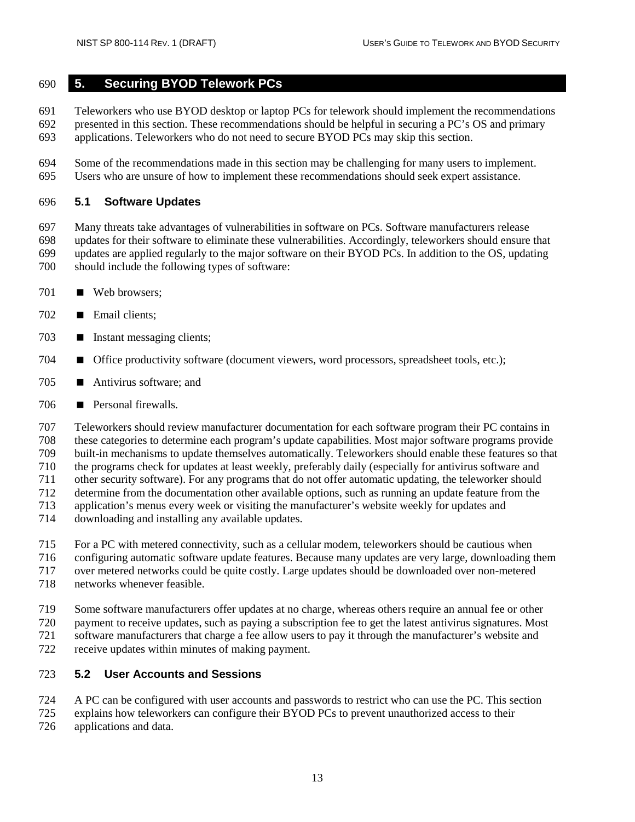#### <span id="page-24-0"></span>**5. Securing BYOD Telework PCs**

 Teleworkers who use BYOD desktop or laptop PCs for telework should implement the recommendations presented in this section. These recommendations should be helpful in securing a PC's OS and primary applications. Teleworkers who do not need to secure BYOD PCs may skip this section.

 Some of the recommendations made in this section may be challenging for many users to implement. Users who are unsure of how to implement these recommendations should seek expert assistance.

#### <span id="page-24-1"></span>**5.1 Software Updates**

 Many threats take advantages of vulnerabilities in software on PCs. Software manufacturers release updates for their software to eliminate these vulnerabilities. Accordingly, teleworkers should ensure that updates are applied regularly to the major software on their BYOD PCs. In addition to the OS, updating should include the following types of software:

- Web browsers;
- **Email clients;**
- **I** Instant messaging clients;
- **Office productivity software (document viewers, word processors, spreadsheet tools, etc.);**
- Antivirus software; and
- Personal firewalls.

 Teleworkers should review manufacturer documentation for each software program their PC contains in these categories to determine each program's update capabilities. Most major software programs provide built-in mechanisms to update themselves automatically. Teleworkers should enable these features so that the programs check for updates at least weekly, preferably daily (especially for antivirus software and other security software). For any programs that do not offer automatic updating, the teleworker should determine from the documentation other available options, such as running an update feature from the application's menus every week or visiting the manufacturer's website weekly for updates and downloading and installing any available updates.

- For a PC with metered connectivity, such as a cellular modem, teleworkers should be cautious when configuring automatic software update features. Because many updates are very large, downloading them
- over metered networks could be quite costly. Large updates should be downloaded over non-metered
- networks whenever feasible.
- Some software manufacturers offer updates at no charge, whereas others require an annual fee or other
- payment to receive updates, such as paying a subscription fee to get the latest antivirus signatures. Most
- software manufacturers that charge a fee allow users to pay it through the manufacturer's website and
- receive updates within minutes of making payment.

#### <span id="page-24-2"></span>**5.2 User Accounts and Sessions**

- A PC can be configured with user accounts and passwords to restrict who can use the PC. This section
- explains how teleworkers can configure their BYOD PCs to prevent unauthorized access to their
- applications and data.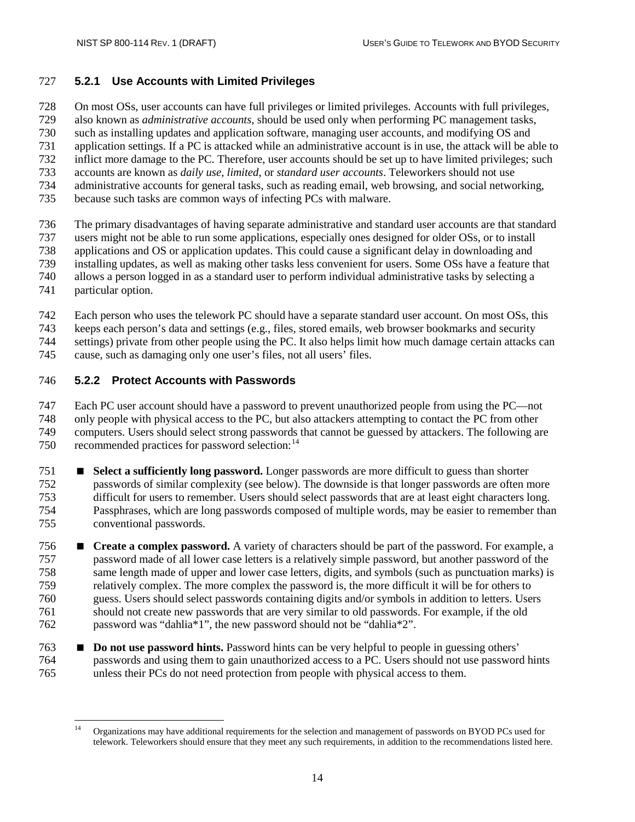#### <span id="page-25-0"></span>**5.2.1 Use Accounts with Limited Privileges**

On most OSs, user accounts can have full privileges or limited privileges. Accounts with full privileges,

also known as *administrative accounts*, should be used only when performing PC management tasks,

such as installing updates and application software, managing user accounts, and modifying OS and

application settings. If a PC is attacked while an administrative account is in use, the attack will be able to

- inflict more damage to the PC. Therefore, user accounts should be set up to have limited privileges; such
- accounts are known as *daily use*, *limited*, or *standard user accounts*. Teleworkers should not use administrative accounts for general tasks, such as reading email, web browsing, and social networking,
- 
- because such tasks are common ways of infecting PCs with malware.
- The primary disadvantages of having separate administrative and standard user accounts are that standard
- users might not be able to run some applications, especially ones designed for older OSs, or to install
- applications and OS or application updates. This could cause a significant delay in downloading and
- installing updates, as well as making other tasks less convenient for users. Some OSs have a feature that
- allows a person logged in as a standard user to perform individual administrative tasks by selecting a
- particular option.
- Each person who uses the telework PC should have a separate standard user account. On most OSs, this
- keeps each person's data and settings (e.g., files, stored emails, web browser bookmarks and security
- settings) private from other people using the PC. It also helps limit how much damage certain attacks can
- cause, such as damaging only one user's files, not all users' files.

## <span id="page-25-1"></span>**5.2.2 Protect Accounts with Passwords**

 Each PC user account should have a password to prevent unauthorized people from using the PC—not only people with physical access to the PC, but also attackers attempting to contact the PC from other computers. Users should select strong passwords that cannot be guessed by attackers. The following are 750 recommended practices for password selection:<sup>[14](#page-25-2)</sup>

- **Select a sufficiently long password.** Longer passwords are more difficult to guess than shorter passwords of similar complexity (see below). The downside is that longer passwords are often more difficult for users to remember. Users should select passwords that are at least eight characters long. Passphrases, which are long passwords composed of multiple words, may be easier to remember than conventional passwords.
- **Create a complex password.** A variety of characters should be part of the password. For example, a password made of all lower case letters is a relatively simple password, but another password of the same length made of upper and lower case letters, digits, and symbols (such as punctuation marks) is relatively complex. The more complex the password is, the more difficult it will be for others to guess. Users should select passwords containing digits and/or symbols in addition to letters. Users should not create new passwords that are very similar to old passwords. For example, if the old password was "dahlia\*1", the new password should not be "dahlia\*2".
- **Do not use password hints.** Password hints can be very helpful to people in guessing others' passwords and using them to gain unauthorized access to a PC. Users should not use password hints unless their PCs do not need protection from people with physical access to them.

<span id="page-25-2"></span><sup>&</sup>lt;sup>14</sup> Organizations may have additional requirements for the selection and management of passwords on BYOD PCs used for telework. Teleworkers should ensure that they meet any such requirements, in addition to the recommendations listed here.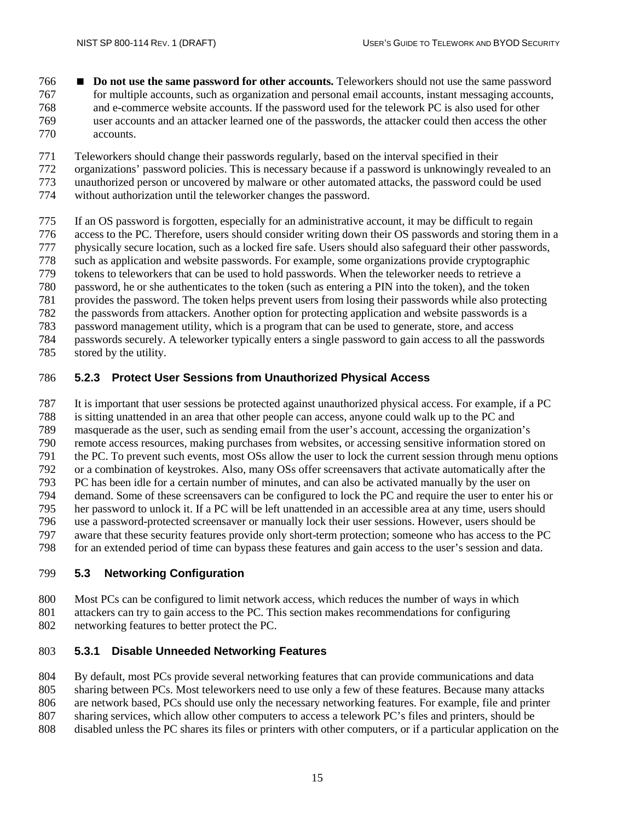- **Do not use the same password for other accounts.** Teleworkers should not use the same password for multiple accounts, such as organization and personal email accounts, instant messaging accounts, and e-commerce website accounts. If the password used for the telework PC is also used for other user accounts and an attacker learned one of the passwords, the attacker could then access the other accounts.
- Teleworkers should change their passwords regularly, based on the interval specified in their
- organizations' password policies. This is necessary because if a password is unknowingly revealed to an
- unauthorized person or uncovered by malware or other automated attacks, the password could be used
- without authorization until the teleworker changes the password.
- If an OS password is forgotten, especially for an administrative account, it may be difficult to regain access to the PC. Therefore, users should consider writing down their OS passwords and storing them in a
- physically secure location, such as a locked fire safe. Users should also safeguard their other passwords,
- 
- such as application and website passwords. For example, some organizations provide cryptographic tokens to teleworkers that can be used to hold passwords. When the teleworker needs to retrieve a
- password, he or she authenticates to the token (such as entering a PIN into the token), and the token
- provides the password. The token helps prevent users from losing their passwords while also protecting
- the passwords from attackers. Another option for protecting application and website passwords is a
- password management utility, which is a program that can be used to generate, store, and access
- passwords securely. A teleworker typically enters a single password to gain access to all the passwords
- stored by the utility.

## <span id="page-26-0"></span>**5.2.3 Protect User Sessions from Unauthorized Physical Access**

- It is important that user sessions be protected against unauthorized physical access. For example, if a PC is sitting unattended in an area that other people can access, anyone could walk up to the PC and masquerade as the user, such as sending email from the user's account, accessing the organization's remote access resources, making purchases from websites, or accessing sensitive information stored on the PC. To prevent such events, most OSs allow the user to lock the current session through menu options
- or a combination of keystrokes. Also, many OSs offer screensavers that activate automatically after the PC has been idle for a certain number of minutes, and can also be activated manually by the user on
- demand. Some of these screensavers can be configured to lock the PC and require the user to enter his or
- her password to unlock it. If a PC will be left unattended in an accessible area at any time, users should
- use a password-protected screensaver or manually lock their user sessions. However, users should be
- 
- 797 aware that these security features provide only short-term protection; someone who has access to the PC for an extended period of time can bypass these features and gain access to the user's session and data. for an extended period of time can bypass these features and gain access to the user's session and data.

# <span id="page-26-1"></span>**5.3 Networking Configuration**

- 800 Most PCs can be configured to limit network access, which reduces the number of ways in which<br>801 attackers can try to gain access to the PC. This section makes recommendations for configuring attackers can try to gain access to the PC. This section makes recommendations for configuring
- networking features to better protect the PC.

# <span id="page-26-2"></span>**5.3.1 Disable Unneeded Networking Features**

- By default, most PCs provide several networking features that can provide communications and data
- sharing between PCs. Most teleworkers need to use only a few of these features. Because many attacks
- are network based, PCs should use only the necessary networking features. For example, file and printer
- sharing services, which allow other computers to access a telework PC's files and printers, should be
- disabled unless the PC shares its files or printers with other computers, or if a particular application on the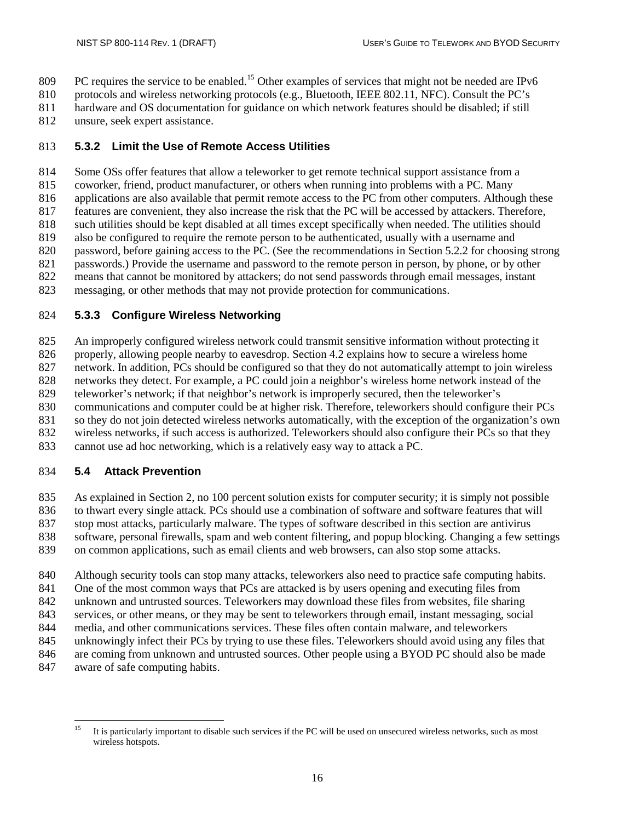809 PC requires the service to be enabled.<sup>[15](#page-27-3)</sup> Other examples of services that might not be needed are IPv6

protocols and wireless networking protocols (e.g., Bluetooth, IEEE 802.11, NFC). Consult the PC's

- hardware and OS documentation for guidance on which network features should be disabled; if still
- unsure, seek expert assistance.

## <span id="page-27-0"></span>**5.3.2 Limit the Use of Remote Access Utilities**

 Some OSs offer features that allow a teleworker to get remote technical support assistance from a coworker, friend, product manufacturer, or others when running into problems with a PC. Many applications are also available that permit remote access to the PC from other computers. Although these features are convenient, they also increase the risk that the PC will be accessed by attackers. Therefore,

such utilities should be kept disabled at all times except specifically when needed. The utilities should

also be configured to require the remote person to be authenticated, usually with a username and

password, before gaining access to the PC. (See the recommendations in Section 5.2.2 for choosing strong

passwords.) Provide the username and password to the remote person in person, by phone, or by other

means that cannot be monitored by attackers; do not send passwords through email messages, instant

messaging, or other methods that may not provide protection for communications.

#### <span id="page-27-1"></span>**5.3.3 Configure Wireless Networking**

An improperly configured wireless network could transmit sensitive information without protecting it

826 properly, allowing people nearby to eavesdrop. Section 4.2 explains how to secure a wireless home

network. In addition, PCs should be configured so that they do not automatically attempt to join wireless

828 networks they detect. For example, a PC could join a neighbor's wireless home network instead of the teleworker's network; if that neighbor's network is improperly secured, then the teleworker's

teleworker's network; if that neighbor's network is improperly secured, then the teleworker's

communications and computer could be at higher risk. Therefore, teleworkers should configure their PCs

so they do not join detected wireless networks automatically, with the exception of the organization's own

wireless networks, if such access is authorized. Teleworkers should also configure their PCs so that they

cannot use ad hoc networking, which is a relatively easy way to attack a PC.

## <span id="page-27-2"></span>**5.4 Attack Prevention**

As explained in Section 2, no 100 percent solution exists for computer security; it is simply not possible

to thwart every single attack. PCs should use a combination of software and software features that will

stop most attacks, particularly malware. The types of software described in this section are antivirus

software, personal firewalls, spam and web content filtering, and popup blocking. Changing a few settings

on common applications, such as email clients and web browsers, can also stop some attacks.

Although security tools can stop many attacks, teleworkers also need to practice safe computing habits.

One of the most common ways that PCs are attacked is by users opening and executing files from

unknown and untrusted sources. Teleworkers may download these files from websites, file sharing

services, or other means, or they may be sent to teleworkers through email, instant messaging, social

media, and other communications services. These files often contain malware, and teleworkers

unknowingly infect their PCs by trying to use these files. Teleworkers should avoid using any files that

are coming from unknown and untrusted sources. Other people using a BYOD PC should also be made

aware of safe computing habits.

<span id="page-27-3"></span><sup>&</sup>lt;sup>15</sup> It is particularly important to disable such services if the PC will be used on unsecured wireless networks, such as most wireless hotspots.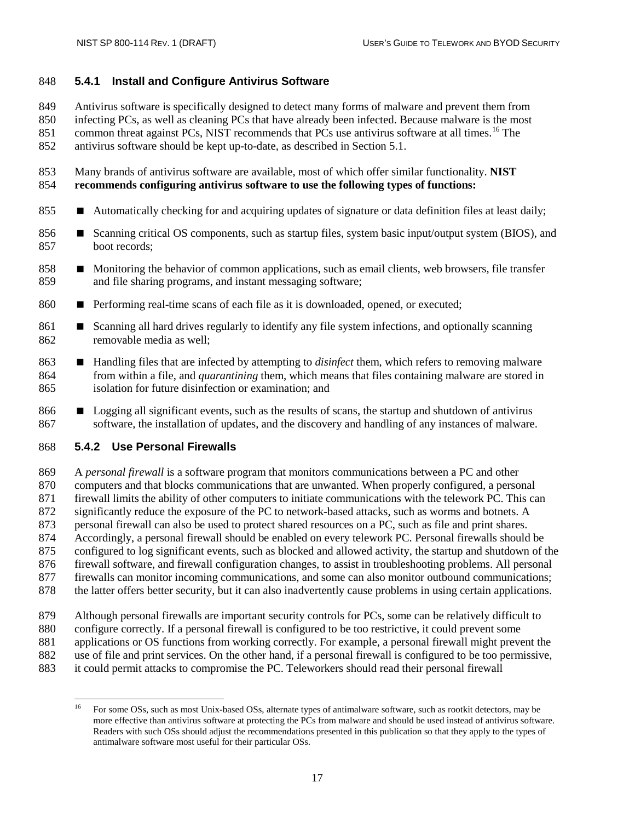#### <span id="page-28-0"></span>**5.4.1 Install and Configure Antivirus Software**

Antivirus software is specifically designed to detect many forms of malware and prevent them from

infecting PCs, as well as cleaning PCs that have already been infected. Because malware is the most

851 common threat against PCs, NIST recommends that PCs use antivirus software at all times.<sup>[16](#page-28-2)</sup> The

antivirus software should be kept up-to-date, as described in Section 5.1.

 Many brands of antivirus software are available, most of which offer similar functionality. **NIST recommends configuring antivirus software to use the following types of functions:**

- **Automatically checking for and acquiring updates of signature or data definition files at least daily;**
- 856 Scanning critical OS components, such as startup files, system basic input/output system (BIOS), and boot records;
- 858 Monitoring the behavior of common applications, such as email clients, web browsers, file transfer and file sharing programs, and instant messaging software;
- 860 Performing real-time scans of each file as it is downloaded, opened, or executed;
- 861 Scanning all hard drives regularly to identify any file system infections, and optionally scanning removable media as well;
- **Handling files that are infected by attempting to** *disinfect* **them, which refers to removing malware**  from within a file, and *quarantining* them, which means that files containing malware are stored in isolation for future disinfection or examination; and
- **Logging all significant events, such as the results of scans, the startup and shutdown of antivirus** software, the installation of updates, and the discovery and handling of any instances of malware.

#### <span id="page-28-1"></span>**5.4.2 Use Personal Firewalls**

 A *personal firewall* is a software program that monitors communications between a PC and other computers and that blocks communications that are unwanted. When properly configured, a personal firewall limits the ability of other computers to initiate communications with the telework PC. This can significantly reduce the exposure of the PC to network-based attacks, such as worms and botnets. A 873 personal firewall can also be used to protect shared resources on a PC, such as file and print shares. Accordingly, a personal firewall should be enabled on every telework PC. Personal firewalls should be configured to log significant events, such as blocked and allowed activity, the startup and shutdown of the firewall software, and firewall configuration changes, to assist in troubleshooting problems. All personal firewalls can monitor incoming communications, and some can also monitor outbound communications; the latter offers better security, but it can also inadvertently cause problems in using certain applications.

- Although personal firewalls are important security controls for PCs, some can be relatively difficult to
- configure correctly. If a personal firewall is configured to be too restrictive, it could prevent some
- applications or OS functions from working correctly. For example, a personal firewall might prevent the
- 882 use of file and print services. On the other hand, if a personal firewall is configured to be too permissive, it could permit attacks to compromise the PC. Teleworkers should read their personal firewall
- <span id="page-28-2"></span>it could permit attacks to compromise the PC. Teleworkers should read their personal firewall

<sup>&</sup>lt;sup>16</sup> For some OSs, such as most Unix-based OSs, alternate types of antimalware software, such as rootkit detectors, may be more effective than antivirus software at protecting the PCs from malware and should be used instead of antivirus software. Readers with such OSs should adjust the recommendations presented in this publication so that they apply to the types of antimalware software most useful for their particular OSs.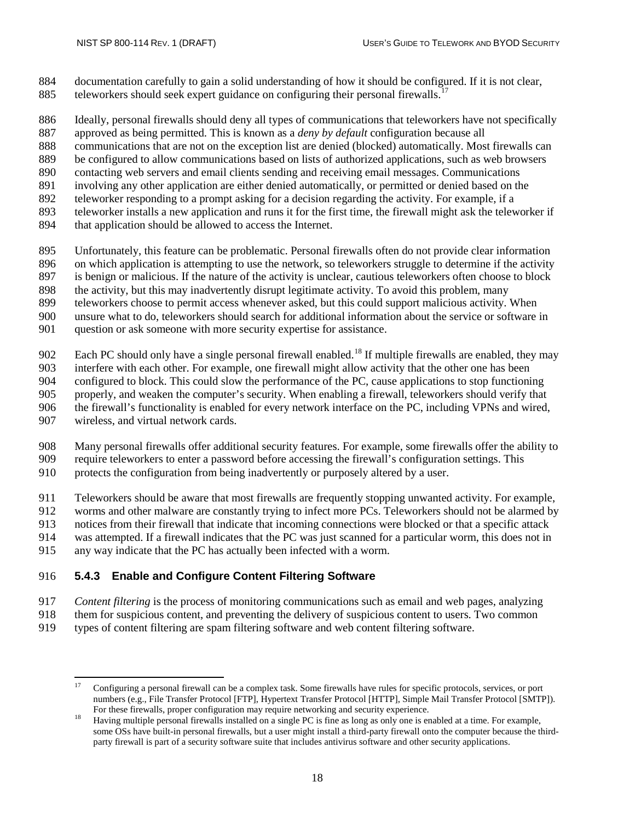documentation carefully to gain a solid understanding of how it should be configured. If it is not clear, teleworkers should seek expert guidance on configuring their personal firewalls.<sup>[17](#page-29-1)</sup>

Ideally, personal firewalls should deny all types of communications that teleworkers have not specifically

approved as being permitted. This is known as a *deny by default* configuration because all

communications that are not on the exception list are denied (blocked) automatically. Most firewalls can

be configured to allow communications based on lists of authorized applications, such as web browsers

- contacting web servers and email clients sending and receiving email messages. Communications
- involving any other application are either denied automatically, or permitted or denied based on the
- teleworker responding to a prompt asking for a decision regarding the activity. For example, if a
- teleworker installs a new application and runs it for the first time, the firewall might ask the teleworker if
- 894 that application should be allowed to access the Internet.
- Unfortunately, this feature can be problematic. Personal firewalls often do not provide clear information
- on which application is attempting to use the network, so teleworkers struggle to determine if the activity
- is benign or malicious. If the nature of the activity is unclear, cautious teleworkers often choose to block
- the activity, but this may inadvertently disrupt legitimate activity. To avoid this problem, many
- teleworkers choose to permit access whenever asked, but this could support malicious activity. When
- unsure what to do, teleworkers should search for additional information about the service or software in
- question or ask someone with more security expertise for assistance.
- 902 Each PC should only have a single personal firewall enabled.<sup>[18](#page-29-2)</sup> If multiple firewalls are enabled, they may
- interfere with each other. For example, one firewall might allow activity that the other one has been
- configured to block. This could slow the performance of the PC, cause applications to stop functioning
- properly, and weaken the computer's security. When enabling a firewall, teleworkers should verify that the firewall's functionality is enabled for every network interface on the PC, including VPNs and wired,
- wireless, and virtual network cards.
- Many personal firewalls offer additional security features. For example, some firewalls offer the ability to require teleworkers to enter a password before accessing the firewall's configuration settings. This
- protects the configuration from being inadvertently or purposely altered by a user.
- Teleworkers should be aware that most firewalls are frequently stopping unwanted activity. For example,
- worms and other malware are constantly trying to infect more PCs. Teleworkers should not be alarmed by
- notices from their firewall that indicate that incoming connections were blocked or that a specific attack
- was attempted. If a firewall indicates that the PC was just scanned for a particular worm, this does not in
- any way indicate that the PC has actually been infected with a worm.

## <span id="page-29-0"></span>**5.4.3 Enable and Configure Content Filtering Software**

- *Content filtering* is the process of monitoring communications such as email and web pages, analyzing
- them for suspicious content, and preventing the delivery of suspicious content to users. Two common
- <span id="page-29-1"></span>types of content filtering are spam filtering software and web content filtering software.

 Configuring a personal firewall can be a complex task. Some firewalls have rules for specific protocols, services, or port numbers (e.g., File Transfer Protocol [FTP], Hypertext Transfer Protocol [HTTP], Simple Mail Transfer Protocol [SMTP]).

<span id="page-29-2"></span>For these firewalls, proper configuration may require networking and security experience.<br>Having multiple personal firewalls installed on a single PC is fine as long as only one is enabled at a time. For example, some OSs have built-in personal firewalls, but a user might install a third-party firewall onto the computer because the thirdparty firewall is part of a security software suite that includes antivirus software and other security applications.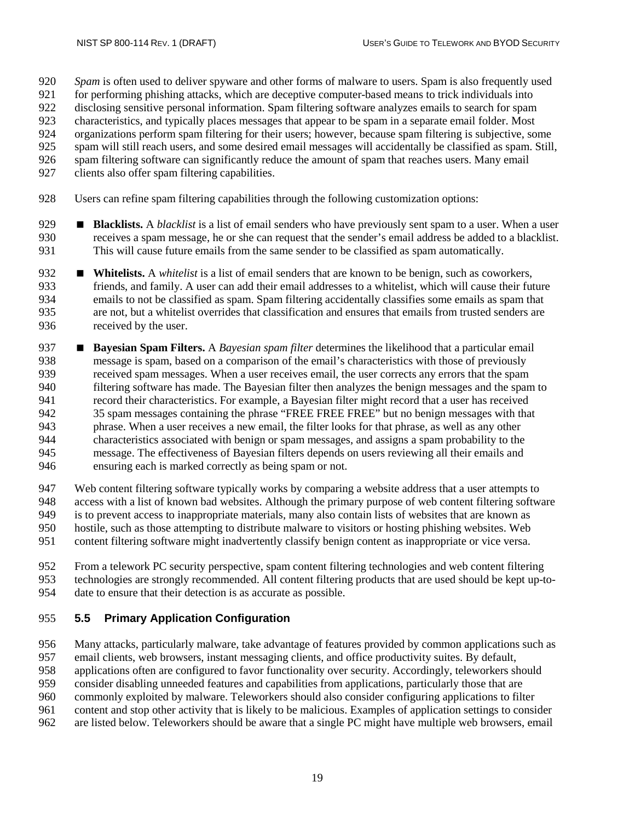*Spam* is often used to deliver spyware and other forms of malware to users. Spam is also frequently used

- for performing phishing attacks, which are deceptive computer-based means to trick individuals into
- disclosing sensitive personal information. Spam filtering software analyzes emails to search for spam
- characteristics, and typically places messages that appear to be spam in a separate email folder. Most
- organizations perform spam filtering for their users; however, because spam filtering is subjective, some
- 925 spam will still reach users, and some desired email messages will accidentally be classified as spam. Still, spam filtering software can significantly reduce the amount of spam that reaches users. Many email spam filtering software can significantly reduce the amount of spam that reaches users. Many email
- clients also offer spam filtering capabilities.
- Users can refine spam filtering capabilities through the following customization options:
- **Blacklists.** A *blacklist* is a list of email senders who have previously sent spam to a user. When a user receives a spam message, he or she can request that the sender's email address be added to a blacklist. This will cause future emails from the same sender to be classified as spam automatically.
- **Whitelists.** A *whitelist* is a list of email senders that are known to be benign, such as coworkers, friends, and family. A user can add their email addresses to a whitelist, which will cause their fut friends, and family. A user can add their email addresses to a whitelist, which will cause their future emails to not be classified as spam. Spam filtering accidentally classifies some emails as spam that are not, but a whitelist overrides that classification and ensures that emails from trusted senders are received by the user.
- **Bayesian Spam Filters.** A *Bayesian spam filter* determines the likelihood that a particular email message is spam, based on a comparison of the email's characteristics with those of previously received spam messages. When a user receives email, the user corrects any errors that the spam filtering software has made. The Bayesian filter then analyzes the benign messages and the spam to record their characteristics. For example, a Bayesian filter might record that a user has received 35 spam messages containing the phrase "FREE FREE FREE" but no benign messages with that phrase. When a user receives a new email, the filter looks for that phrase, as well as any other characteristics associated with benign or spam messages, and assigns a spam probability to the message. The effectiveness of Bayesian filters depends on users reviewing all their emails and ensuring each is marked correctly as being spam or not.
- Web content filtering software typically works by comparing a website address that a user attempts to access with a list of known bad websites. Although the primary purpose of web content filtering software is to prevent access to inappropriate materials, many also contain lists of websites that are known as hostile, such as those attempting to distribute malware to visitors or hosting phishing websites. Web
- content filtering software might inadvertently classify benign content as inappropriate or vice versa.
- From a telework PC security perspective, spam content filtering technologies and web content filtering technologies are strongly recommended. All content filtering products that are used should be kept up-to-date to ensure that their detection is as accurate as possible.

## <span id="page-30-0"></span>**5.5 Primary Application Configuration**

Many attacks, particularly malware, take advantage of features provided by common applications such as

email clients, web browsers, instant messaging clients, and office productivity suites. By default,

- applications often are configured to favor functionality over security. Accordingly, teleworkers should
- consider disabling unneeded features and capabilities from applications, particularly those that are
- commonly exploited by malware. Teleworkers should also consider configuring applications to filter
- content and stop other activity that is likely to be malicious. Examples of application settings to consider
- are listed below. Teleworkers should be aware that a single PC might have multiple web browsers, email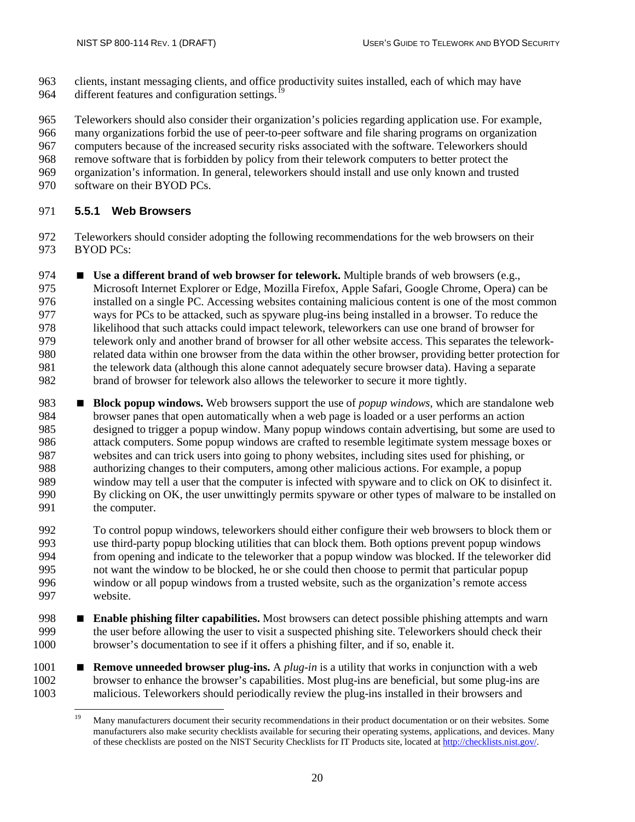clients, instant messaging clients, and office productivity suites installed, each of which may have 964 different features and configuration settings.<sup>1</sup>

 Teleworkers should also consider their organization's policies regarding application use. For example, many organizations forbid the use of peer-to-peer software and file sharing programs on organization computers because of the increased security risks associated with the software. Teleworkers should remove software that is forbidden by policy from their telework computers to better protect the organization's information. In general, teleworkers should install and use only known and trusted software on their BYOD PCs.

## <span id="page-31-0"></span>**5.5.1 Web Browsers**

 Teleworkers should consider adopting the following recommendations for the web browsers on their BYOD PCs:

 **Use a different brand of web browser for telework.** Multiple brands of web browsers (e.g., Microsoft Internet Explorer or Edge, Mozilla Firefox, Apple Safari, Google Chrome, Opera) can be installed on a single PC. Accessing websites containing malicious content is one of the most common ways for PCs to be attacked, such as spyware plug-ins being installed in a browser. To reduce the likelihood that such attacks could impact telework, teleworkers can use one brand of browser for telework only and another brand of browser for all other website access. This separates the telework- related data within one browser from the data within the other browser, providing better protection for the telework data (although this alone cannot adequately secure browser data). Having a separate brand of browser for telework also allows the teleworker to secure it more tightly.

 **Block popup windows.** Web browsers support the use of *popup windows*, which are standalone web browser panes that open automatically when a web page is loaded or a user performs an action designed to trigger a popup window. Many popup windows contain advertising, but some are used to attack computers. Some popup windows are crafted to resemble legitimate system message boxes or websites and can trick users into going to phony websites, including sites used for phishing, or authorizing changes to their computers, among other malicious actions. For example, a popup window may tell a user that the computer is infected with spyware and to click on OK to disinfect it. By clicking on OK, the user unwittingly permits spyware or other types of malware to be installed on 991 the computer.

 To control popup windows, teleworkers should either configure their web browsers to block them or use third-party popup blocking utilities that can block them. Both options prevent popup windows from opening and indicate to the teleworker that a popup window was blocked. If the teleworker did not want the window to be blocked, he or she could then choose to permit that particular popup window or all popup windows from a trusted website, such as the organization's remote access website.

- **Enable phishing filter capabilities.** Most browsers can detect possible phishing attempts and warn the user before allowing the user to visit a suspected phishing site. Teleworkers should check their browser's documentation to see if it offers a phishing filter, and if so, enable it.
- <span id="page-31-1"></span> **Remove unneeded browser plug-ins.** A *plug-in* is a utility that works in conjunction with a web browser to enhance the browser's capabilities. Most plug-ins are beneficial, but some plug-ins are malicious. Teleworkers should periodically review the plug-ins installed in their browsers and

<sup>&</sup>lt;sup>19</sup> Many manufacturers document their security recommendations in their product documentation or on their websites. Some manufacturers also make security checklists available for securing their operating systems, applications, and devices. Many of these checklists are posted on the NIST Security Checklists for IT Products site, located a[t http://checklists.nist.gov/.](http://checklists.nist.gov/)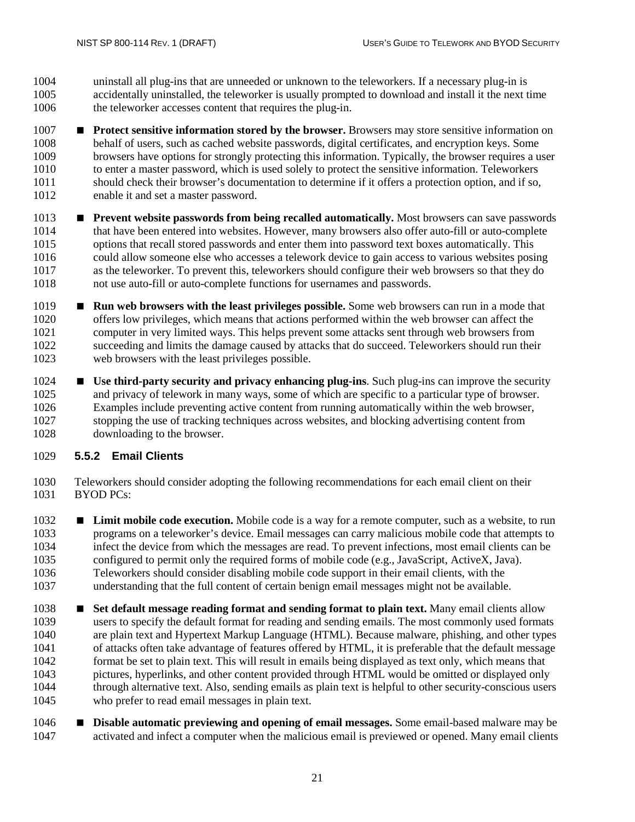uninstall all plug-ins that are unneeded or unknown to the teleworkers. If a necessary plug-in is accidentally uninstalled, the teleworker is usually prompted to download and install it the next time the teleworker accesses content that requires the plug-in.

- **Protect sensitive information stored by the browser.** Browsers may store sensitive information on behalf of users, such as cached website passwords, digital certificates, and encryption keys. Some browsers have options for strongly protecting this information. Typically, the browser requires a user to enter a master password, which is used solely to protect the sensitive information. Teleworkers should check their browser's documentation to determine if it offers a protection option, and if so, enable it and set a master password.
- **Prevent website passwords from being recalled automatically.** Most browsers can save passwords that have been entered into websites. However, many browsers also offer auto-fill or auto-complete options that recall stored passwords and enter them into password text boxes automatically. This 1016 could allow someone else who accesses a telework device to gain access to various websites posing<br>1017 as the teleworker. To prevent this, teleworkers should configure their web browsers so that they do as the teleworker. To prevent this, teleworkers should configure their web browsers so that they do not use auto-fill or auto-complete functions for usernames and passwords.
- **Run web browsers with the least privileges possible.** Some web browsers can run in a mode that offers low privileges, which means that actions performed within the web browser can affect the computer in very limited ways. This helps prevent some attacks sent through web browsers from succeeding and limits the damage caused by attacks that do succeed. Teleworkers should run their web browsers with the least privileges possible.
- **Use third-party security and privacy enhancing plug-ins**. Such plug-ins can improve the security and privacy of telework in many ways, some of which are specific to a particular type of browser. Examples include preventing active content from running automatically within the web browser, stopping the use of tracking techniques across websites, and blocking advertising content from downloading to the browser.

## <span id="page-32-0"></span>**5.5.2 Email Clients**

- Teleworkers should consider adopting the following recommendations for each email client on their BYOD PCs:
- **Limit mobile code execution.** Mobile code is a way for a remote computer, such as a website, to run programs on a teleworker's device. Email messages can carry malicious mobile code that attempts to infect the device from which the messages are read. To prevent infections, most email clients can be configured to permit only the required forms of mobile code (e.g., JavaScript, ActiveX, Java). Teleworkers should consider disabling mobile code support in their email clients, with the understanding that the full content of certain benign email messages might not be available.
- **Set default message reading format and sending format to plain text.** Many email clients allow users to specify the default format for reading and sending emails. The most commonly used formats are plain text and Hypertext Markup Language (HTML). Because malware, phishing, and other types of attacks often take advantage of features offered by HTML, it is preferable that the default message format be set to plain text. This will result in emails being displayed as text only, which means that pictures, hyperlinks, and other content provided through HTML would be omitted or displayed only through alternative text. Also, sending emails as plain text is helpful to other security-conscious users who prefer to read email messages in plain text.
- **Disable automatic previewing and opening of email messages.** Some email-based malware may be activated and infect a computer when the malicious email is previewed or opened. Many email clients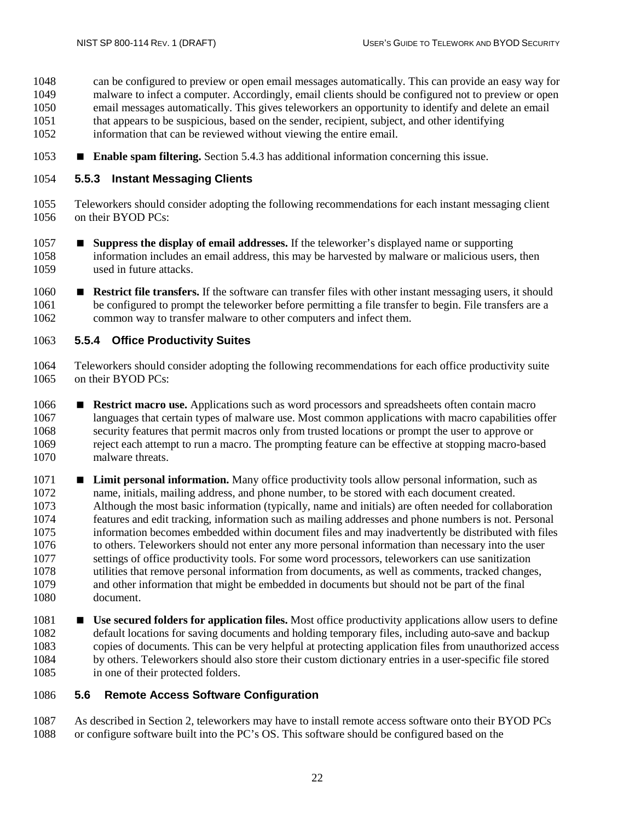can be configured to preview or open email messages automatically. This can provide an easy way for malware to infect a computer. Accordingly, email clients should be configured not to preview or open email messages automatically. This gives teleworkers an opportunity to identify and delete an email that appears to be suspicious, based on the sender, recipient, subject, and other identifying information that can be reviewed without viewing the entire email.

**Enable spam filtering.** Sectio[n 5.4.3](#page-29-0) has additional information concerning this issue.

#### <span id="page-33-0"></span>**5.5.3 Instant Messaging Clients**

- Teleworkers should consider adopting the following recommendations for each instant messaging client on their BYOD PCs:
- **Suppress the display of email addresses.** If the teleworker's displayed name or supporting information includes an email address, this may be harvested by malware or malicious users, then used in future attacks.
- **Restrict file transfers.** If the software can transfer files with other instant messaging users, it should be configured to prompt the teleworker before permitting a file transfer to begin. File transfers are a common way to transfer malware to other computers and infect them.

#### <span id="page-33-1"></span>**5.5.4 Office Productivity Suites**

- Teleworkers should consider adopting the following recommendations for each office productivity suite on their BYOD PCs:
- **Restrict macro use.** Applications such as word processors and spreadsheets often contain macro languages that certain types of malware use. Most common applications with macro capabilities offer security features that permit macros only from trusted locations or prompt the user to approve or reject each attempt to run a macro. The prompting feature can be effective at stopping macro-based malware threats.
- **Limit personal information.** Many office productivity tools allow personal information, such as name, initials, mailing address, and phone number, to be stored with each document created. Although the most basic information (typically, name and initials) are often needed for collaboration features and edit tracking, information such as mailing addresses and phone numbers is not. Personal information becomes embedded within document files and may inadvertently be distributed with files to others. Teleworkers should not enter any more personal information than necessary into the user settings of office productivity tools. For some word processors, teleworkers can use sanitization utilities that remove personal information from documents, as well as comments, tracked changes, and other information that might be embedded in documents but should not be part of the final document.
- **Use secured folders for application files.** Most office productivity applications allow users to define 1082 default locations for saving documents and holding temporary files, including auto-save and backup<br>1083 copies of documents. This can be very helpful at protecting application files from unauthorized acces copies of documents. This can be very helpful at protecting application files from unauthorized access by others. Teleworkers should also store their custom dictionary entries in a user-specific file stored in one of their protected folders.

#### <span id="page-33-2"></span>**5.6 Remote Access Software Configuration**

 As described in Section 2, teleworkers may have to install remote access software onto their BYOD PCs or configure software built into the PC's OS. This software should be configured based on the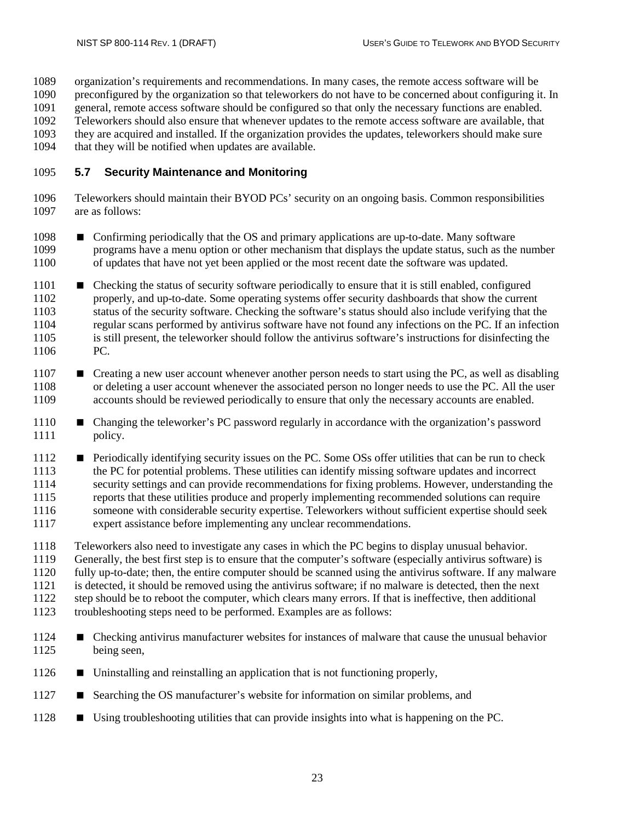organization's requirements and recommendations. In many cases, the remote access software will be

preconfigured by the organization so that teleworkers do not have to be concerned about configuring it. In

- general, remote access software should be configured so that only the necessary functions are enabled.
- Teleworkers should also ensure that whenever updates to the remote access software are available, that they are acquired and installed. If the organization provides the updates, teleworkers should make sure
- 1094 that they will be notified when updates are available.
- 

# <span id="page-34-0"></span>**5.7 Security Maintenance and Monitoring**

- Teleworkers should maintain their BYOD PCs' security on an ongoing basis. Common responsibilities are as follows:
- 1098 Confirming periodically that the OS and primary applications are up-to-date. Many software programs have a menu option or other mechanism that displays the update status, such as the number of updates that have not yet been applied or the most recent date the software was updated.
- 1101 Checking the status of security software periodically to ensure that it is still enabled, configured properly, and up-to-date. Some operating systems offer security dashboards that show the current properly, and up-to-date. Some operating systems offer security dashboards that show the current status of the security software. Checking the software's status should also include verifying that the regular scans performed by antivirus software have not found any infections on the PC. If an infection is still present, the teleworker should follow the antivirus software's instructions for disinfecting the PC.
- **E** Creating a new user account whenever another person needs to start using the PC, as well as disabling 1108 or deleting a user account whenever the associated person no longer needs to use the PC. All the user accounts should be reviewed periodically to ensure that only the necessary accounts are enabled. accounts should be reviewed periodically to ensure that only the necessary accounts are enabled.
- 1110 Changing the teleworker's PC password regularly in accordance with the organization's password policy.
- 1112 Periodically identifying security issues on the PC. Some OSs offer utilities that can be run to check the PC for potential problems. These utilities can identify missing software updates and incorrect security settings and can provide recommendations for fixing problems. However, understanding the reports that these utilities produce and properly implementing recommended solutions can require someone with considerable security expertise. Teleworkers without sufficient expertise should seek expert assistance before implementing any unclear recommendations.
- Teleworkers also need to investigate any cases in which the PC begins to display unusual behavior. Generally, the best first step is to ensure that the computer's software (especially antivirus software) is fully up-to-date; then, the entire computer should be scanned using the antivirus software. If any malware is detected, it should be removed using the antivirus software; if no malware is detected, then the next step should be to reboot the computer, which clears many errors. If that is ineffective, then additional
- troubleshooting steps need to be performed. Examples are as follows:
- Checking antivirus manufacturer websites for instances of malware that cause the unusual behavior being seen,
- Uninstalling and reinstalling an application that is not functioning properly,
- **S** Searching the OS manufacturer's website for information on similar problems, and
- Using troubleshooting utilities that can provide insights into what is happening on the PC.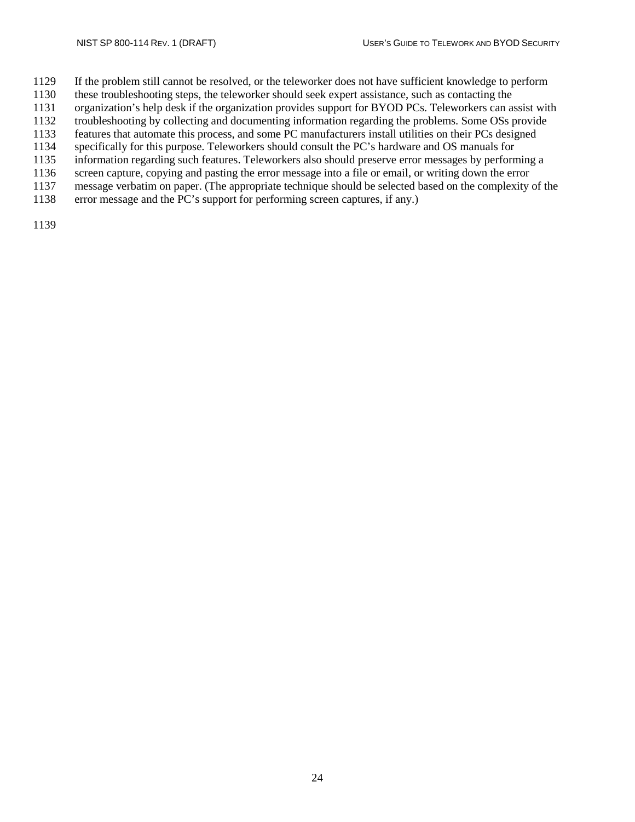- If the problem still cannot be resolved, or the teleworker does not have sufficient knowledge to perform
- these troubleshooting steps, the teleworker should seek expert assistance, such as contacting the
- organization's help desk if the organization provides support for BYOD PCs. Teleworkers can assist with
- troubleshooting by collecting and documenting information regarding the problems. Some OSs provide
- features that automate this process, and some PC manufacturers install utilities on their PCs designed
- 1134 specifically for this purpose. Teleworkers should consult the PC's hardware and OS manuals for<br>1135 information regarding such features. Teleworkers also should preserve error messages by perform information regarding such features. Teleworkers also should preserve error messages by performing a
- screen capture, copying and pasting the error message into a file or email, or writing down the error
- message verbatim on paper. (The appropriate technique should be selected based on the complexity of the
- error message and the PC's support for performing screen captures, if any.)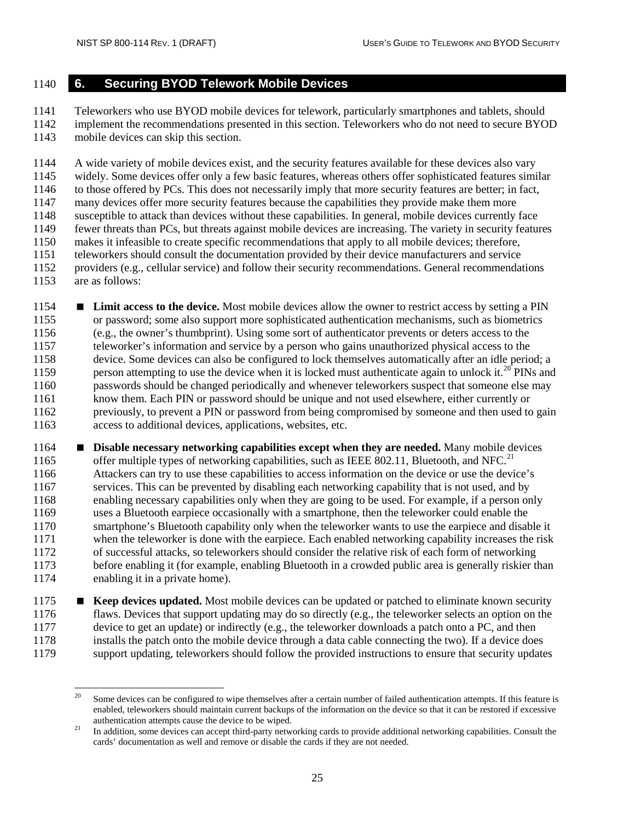#### <span id="page-36-0"></span>**6. Securing BYOD Telework Mobile Devices**

 Teleworkers who use BYOD mobile devices for telework, particularly smartphones and tablets, should implement the recommendations presented in this section. Teleworkers who do not need to secure BYOD mobile devices can skip this section.

 A wide variety of mobile devices exist, and the security features available for these devices also vary widely. Some devices offer only a few basic features, whereas others offer sophisticated features similar to those offered by PCs. This does not necessarily imply that more security features are better; in fact, many devices offer more security features because the capabilities they provide make them more susceptible to attack than devices without these capabilities. In general, mobile devices currently face fewer threats than PCs, but threats against mobile devices are increasing. The variety in security features makes it infeasible to create specific recommendations that apply to all mobile devices; therefore, teleworkers should consult the documentation provided by their device manufacturers and service providers (e.g., cellular service) and follow their security recommendations. General recommendations are as follows:

 **Limit access to the device.** Most mobile devices allow the owner to restrict access by setting a PIN or password; some also support more sophisticated authentication mechanisms, such as biometrics (e.g., the owner's thumbprint). Using some sort of authenticator prevents or deters access to the teleworker's information and service by a person who gains unauthorized physical access to the device. Some devices can also be configured to lock themselves automatically after an idle period; a 1159 person attempting to use the device when it is locked must authenticate again to unlock it.<sup>[20](#page-36-1)</sup> PINs and passwords should be changed periodically and whenever teleworkers suspect that someone else may know them. Each PIN or password should be unique and not used elsewhere, either currently or previously, to prevent a PIN or password from being compromised by someone and then used to gain access to additional devices, applications, websites, etc.

 **Disable necessary networking capabilities except when they are needed.** Many mobile devices 1165 offer multiple types of networking capabilities, such as IEEE 802.11, Bluetooth, and NFC.<sup>[21](#page-36-2)</sup> Attackers can try to use these capabilities to access information on the device or use the device's services. This can be prevented by disabling each networking capability that is not used, and by enabling necessary capabilities only when they are going to be used. For example, if a person only uses a Bluetooth earpiece occasionally with a smartphone, then the teleworker could enable the smartphone's Bluetooth capability only when the teleworker wants to use the earpiece and disable it when the teleworker is done with the earpiece. Each enabled networking capability increases the risk of successful attacks, so teleworkers should consider the relative risk of each form of networking before enabling it (for example, enabling Bluetooth in a crowded public area is generally riskier than enabling it in a private home).

**Keep devices updated.** Most mobile devices can be updated or patched to eliminate known security flaws. Devices that support updating may do so directly (e.g., the teleworker selects an option on the device to get an update) or indirectly (e.g., the teleworker downloads a patch onto a PC, and then 1178 installs the patch onto the mobile device through a data cable connecting the two). If a device does<br>1179 support updating, teleworkers should follow the provided instructions to ensure that security update support updating, teleworkers should follow the provided instructions to ensure that security updates

<span id="page-36-1"></span> Some devices can be configured to wipe themselves after a certain number of failed authentication attempts. If this feature is enabled, teleworkers should maintain current backups of the information on the device so that it can be restored if excessive

<span id="page-36-2"></span>authentication attempts cause the device to be wiped.<br><sup>21</sup> In addition, some devices can accept third-party networking cards to provide additional networking capabilities. Consult the cards' documentation as well and remove or disable the cards if they are not needed.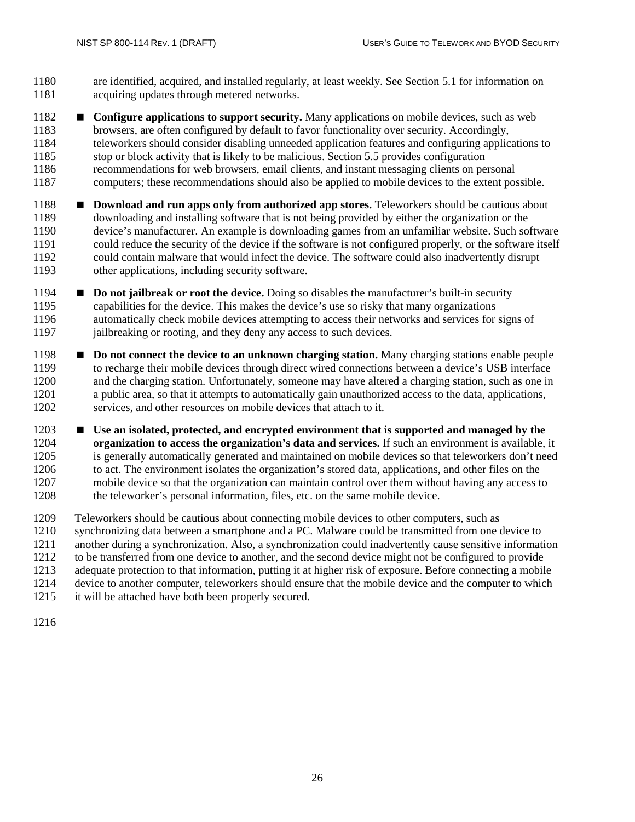- are identified, acquired, and installed regularly, at least weekly. See Section 5.1 for information on acquiring updates through metered networks.
- **Configure applications to support security.** Many applications on mobile devices, such as web browsers, are often configured by default to favor functionality over security. Accordingly, teleworkers should consider disabling unneeded application features and configuring applications to 1185 stop or block activity that is likely to be malicious. Section 5.5 provides configuration<br>1186 secommendations for web browsers, email clients, and instant messaging clients on per recommendations for web browsers, email clients, and instant messaging clients on personal computers; these recommendations should also be applied to mobile devices to the extent possible.
- **•• Download and run apps only from authorized app stores.** Teleworkers should be cautious about downloading and installing software that is not being provided by either the organization or the device's manufacturer. An example is downloading games from an unfamiliar website. Such software could reduce the security of the device if the software is not configured properly, or the software itself 1192 could contain malware that would infect the device. The software could also inadvertently disrupt other applications, including security software. other applications, including security software.
- **Do not jailbreak or root the device.** Doing so disables the manufacturer's built-in security capabilities for the device. This makes the device's use so risky that many organizations automatically check mobile devices attempting to access their networks and services for signs of 1197 iailbreaking or rooting, and they deny any access to such devices.
- **Do not connect the device to an unknown charging station.** Many charging stations enable people to recharge their mobile devices through direct wired connections between a device's USB interface 1200 and the charging station. Unfortunately, someone may have altered a charging station, such as one in<br>1201 a public area, so that it attempts to automatically gain unauthorized access to the data, applications, a public area, so that it attempts to automatically gain unauthorized access to the data, applications, services, and other resources on mobile devices that attach to it.
- **Use an isolated, protected, and encrypted environment that is supported and managed by the organization to access the organization's data and services.** If such an environment is available, it is generally automatically generated and maintained on mobile devices so that teleworkers don't need to act. The environment isolates the organization's stored data, applications, and other files on the mobile device so that the organization can maintain control over them without having any access to the teleworker's personal information, files, etc. on the same mobile device.
- 1209 Teleworkers should be cautious about connecting mobile devices to other computers, such as 1210 synchronizing data between a smartphone and a PC. Malware could be transmitted from one of synchronizing data between a smartphone and a PC. Malware could be transmitted from one device to another during a synchronization. Also, a synchronization could inadvertently cause sensitive information to be transferred from one device to another, and the second device might not be configured to provide adequate protection to that information, putting it at higher risk of exposure. Before connecting a mobile 1214 device to another computer, teleworkers should ensure that the mobile device and the computer to which<br>1215 it will be attached have both been properly secured. it will be attached have both been properly secured.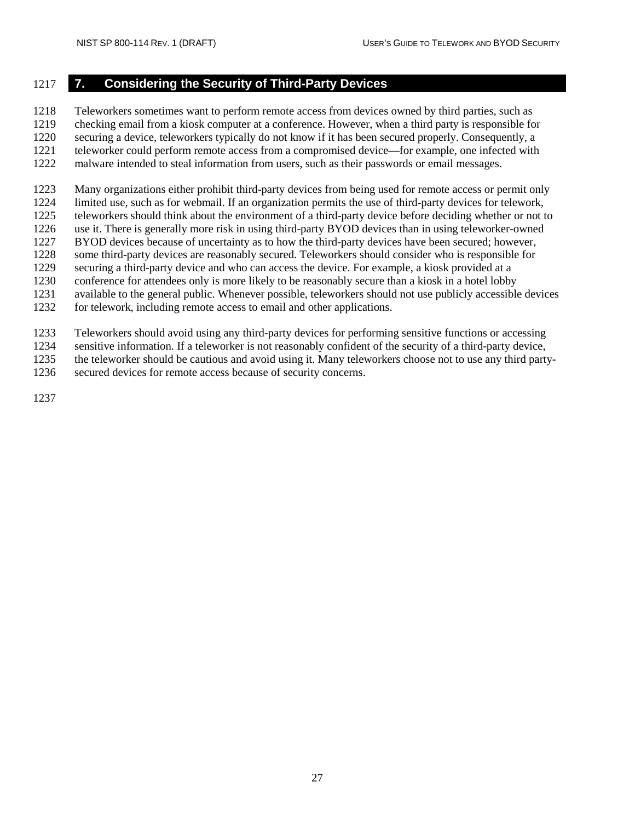## <span id="page-38-0"></span>**7. Considering the Security of Third-Party Devices**

Teleworkers sometimes want to perform remote access from devices owned by third parties, such as

checking email from a kiosk computer at a conference. However, when a third party is responsible for

 securing a device, teleworkers typically do not know if it has been secured properly. Consequently, a teleworker could perform remote access from a compromised device—for example, one infected with

malware intended to steal information from users, such as their passwords or email messages.

Many organizations either prohibit third-party devices from being used for remote access or permit only

limited use, such as for webmail. If an organization permits the use of third-party devices for telework,

teleworkers should think about the environment of a third-party device before deciding whether or not to

 use it. There is generally more risk in using third-party BYOD devices than in using teleworker-owned BYOD devices because of uncertainty as to how the third-party devices have been secured; however,

some third-party devices are reasonably secured. Teleworkers should consider who is responsible for

securing a third-party device and who can access the device. For example, a kiosk provided at a

conference for attendees only is more likely to be reasonably secure than a kiosk in a hotel lobby

available to the general public. Whenever possible, teleworkers should not use publicly accessible devices

for telework, including remote access to email and other applications.

Teleworkers should avoid using any third-party devices for performing sensitive functions or accessing

sensitive information. If a teleworker is not reasonably confident of the security of a third-party device,

the teleworker should be cautious and avoid using it. Many teleworkers choose not to use any third party-

secured devices for remote access because of security concerns.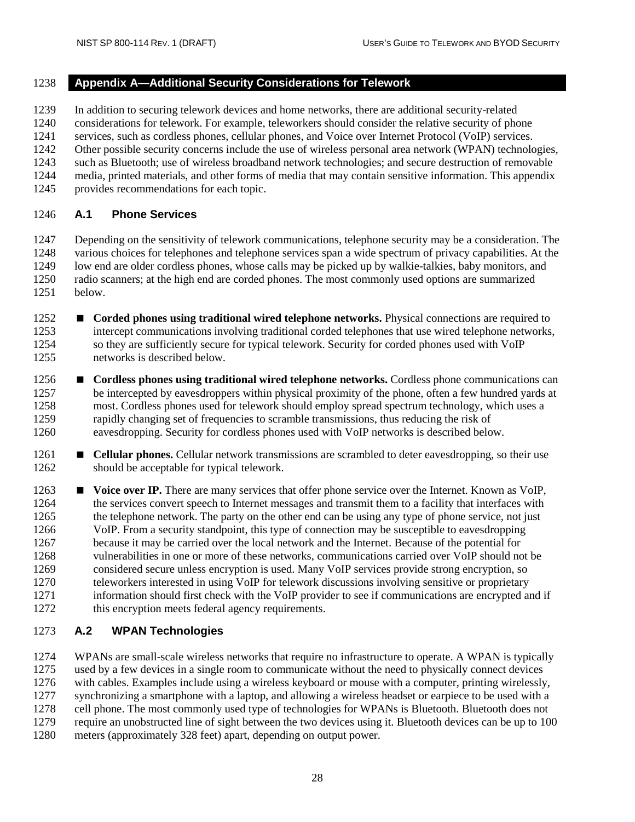## <span id="page-39-0"></span>**Appendix A—Additional Security Considerations for Telework**

In addition to securing telework devices and home networks, there are additional security-related

considerations for telework. For example, teleworkers should consider the relative security of phone

services, such as cordless phones, cellular phones, and Voice over Internet Protocol (VoIP) services.

Other possible security concerns include the use of wireless personal area network (WPAN) technologies,

- such as Bluetooth; use of wireless broadband network technologies; and secure destruction of removable
- media, printed materials, and other forms of media that may contain sensitive information. This appendix
- provides recommendations for each topic.

## <span id="page-39-1"></span>**A.1 Phone Services**

 Depending on the sensitivity of telework communications, telephone security may be a consideration. The various choices for telephones and telephone services span a wide spectrum of privacy capabilities. At the low end are older cordless phones, whose calls may be picked up by walkie-talkies, baby monitors, and 1250 radio scanners; at the high end are corded phones. The most commonly used options are summarized below. below.

- **Corded phones using traditional wired telephone networks.** Physical connections are required to intercept communications involving traditional corded telephones that use wired telephone networks, so they are sufficiently secure for typical telework. Security for corded phones used with VoIP networks is described below.
- **•• Cordless phones using traditional wired telephone networks.** Cordless phone communications can be intercepted by eavesdroppers within physical proximity of the phone, often a few hundred yards at most. Cordless phones used for telework should employ spread spectrum technology, which uses a rapidly changing set of frequencies to scramble transmissions, thus reducing the risk of eavesdropping. Security for cordless phones used with VoIP networks is described below.
- **•• Cellular phones.** Cellular network transmissions are scrambled to deter eavesdropping, so their use should be acceptable for typical telework.
- **■** Voice over IP. There are many services that offer phone service over the Internet. Known as VoIP. the services convert speech to Internet messages and transmit them to a facility that interfaces with the telephone network. The party on the other end can be using any type of phone service, not just VoIP. From a security standpoint, this type of connection may be susceptible to eavesdropping because it may be carried over the local network and the Internet. Because of the potential for vulnerabilities in one or more of these networks, communications carried over VoIP should not be considered secure unless encryption is used. Many VoIP services provide strong encryption, so teleworkers interested in using VoIP for telework discussions involving sensitive or proprietary information should first check with the VoIP provider to see if communications are encrypted and if this encryption meets federal agency requirements.

## <span id="page-39-2"></span>**A.2 WPAN Technologies**

 WPANs are small-scale wireless networks that require no infrastructure to operate. A WPAN is typically used by a few devices in a single room to communicate without the need to physically connect devices with cables. Examples include using a wireless keyboard or mouse with a computer, printing wirelessly, synchronizing a smartphone with a laptop, and allowing a wireless headset or earpiece to be used with a cell phone. The most commonly used type of technologies for WPANs is Bluetooth. Bluetooth does not require an unobstructed line of sight between the two devices using it. Bluetooth devices can be up to 100 meters (approximately 328 feet) apart, depending on output power.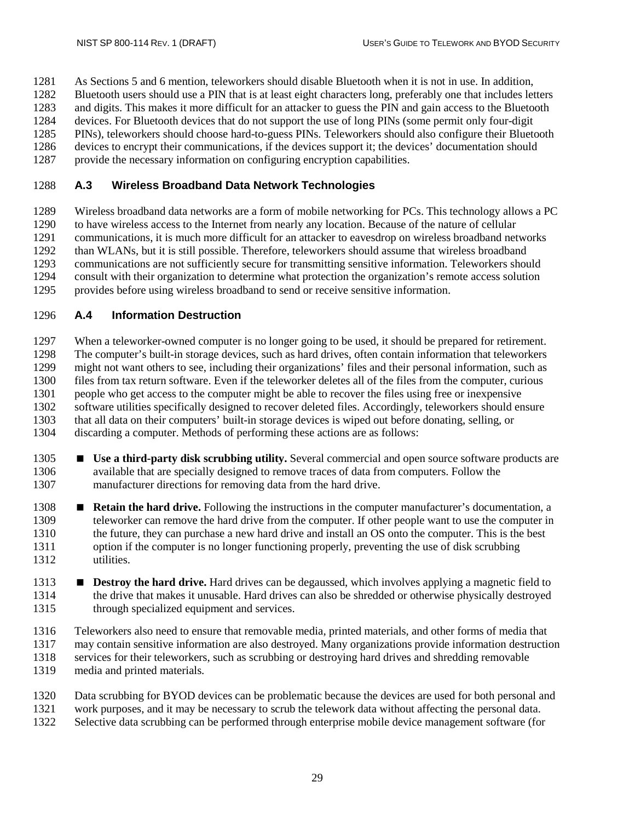As Sections 5 and 6 mention, teleworkers should disable Bluetooth when it is not in use. In addition,

Bluetooth users should use a PIN that is at least eight characters long, preferably one that includes letters

and digits. This makes it more difficult for an attacker to guess the PIN and gain access to the Bluetooth

 devices. For Bluetooth devices that do not support the use of long PINs (some permit only four-digit PINs), teleworkers should choose hard-to-guess PINs. Teleworkers should also configure their Bluetooth

1286 devices to encrypt their communications, if the devices support it; the devices' documentation should<br>1287 provide the necessary information on configuring encryption capabilities. provide the necessary information on configuring encryption capabilities.

## <span id="page-40-0"></span>**A.3 Wireless Broadband Data Network Technologies**

 Wireless broadband data networks are a form of mobile networking for PCs. This technology allows a PC to have wireless access to the Internet from nearly any location. Because of the nature of cellular communications, it is much more difficult for an attacker to eavesdrop on wireless broadband networks than WLANs, but it is still possible. Therefore, teleworkers should assume that wireless broadband communications are not sufficiently secure for transmitting sensitive information. Teleworkers should consult with their organization to determine what protection the organization's remote access solution provides before using wireless broadband to send or receive sensitive information.

## <span id="page-40-1"></span>**A.4 Information Destruction**

 When a teleworker-owned computer is no longer going to be used, it should be prepared for retirement. The computer's built-in storage devices, such as hard drives, often contain information that teleworkers might not want others to see, including their organizations' files and their personal information, such as 1300 files from tax return software. Even if the teleworker deletes all of the files from the computer, curious people who get access to the computer might be able to recover the files using free or inexpensive people who get access to the computer might be able to recover the files using free or inexpensive software utilities specifically designed to recover deleted files. Accordingly, teleworkers should ensure that all data on their computers' built-in storage devices is wiped out before donating, selling, or discarding a computer. Methods of performing these actions are as follows:

- **Use a third-party disk scrubbing utility.** Several commercial and open source software products are available that are specially designed to remove traces of data from computers. Follow the manufacturer directions for removing data from the hard drive.
- **Retain the hard drive.** Following the instructions in the computer manufacturer's documentation, a teleworker can remove the hard drive from the computer. If other people want to use the computer in the future, they can purchase a new hard drive and install an OS onto the computer. This is the best option if the computer is no longer functioning properly, preventing the use of disk scrubbing utilities.
- **Bestroy the hard drive.** Hard drives can be degaussed, which involves applying a magnetic field to the drive that makes it unusable. Hard drives can also be shredded or otherwise physically destroyed through specialized equipment and services.
- Teleworkers also need to ensure that removable media, printed materials, and other forms of media that
- may contain sensitive information are also destroyed. Many organizations provide information destruction services for their teleworkers, such as scrubbing or destroying hard drives and shredding removable
- media and printed materials.
- Data scrubbing for BYOD devices can be problematic because the devices are used for both personal and
- work purposes, and it may be necessary to scrub the telework data without affecting the personal data.
- Selective data scrubbing can be performed through enterprise mobile device management software (for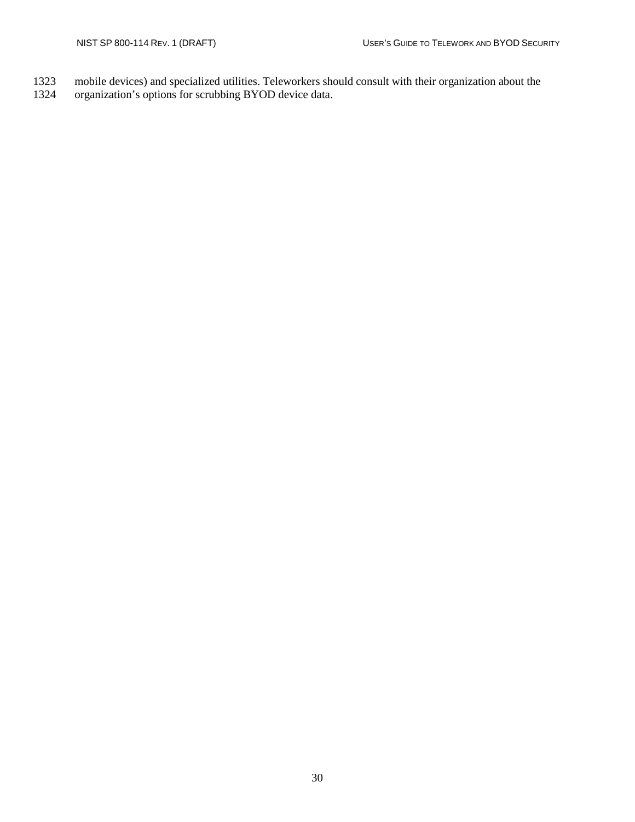- mobile devices) and specialized utilities. Teleworkers should consult with their organization about the
- organization's options for scrubbing BYOD device data.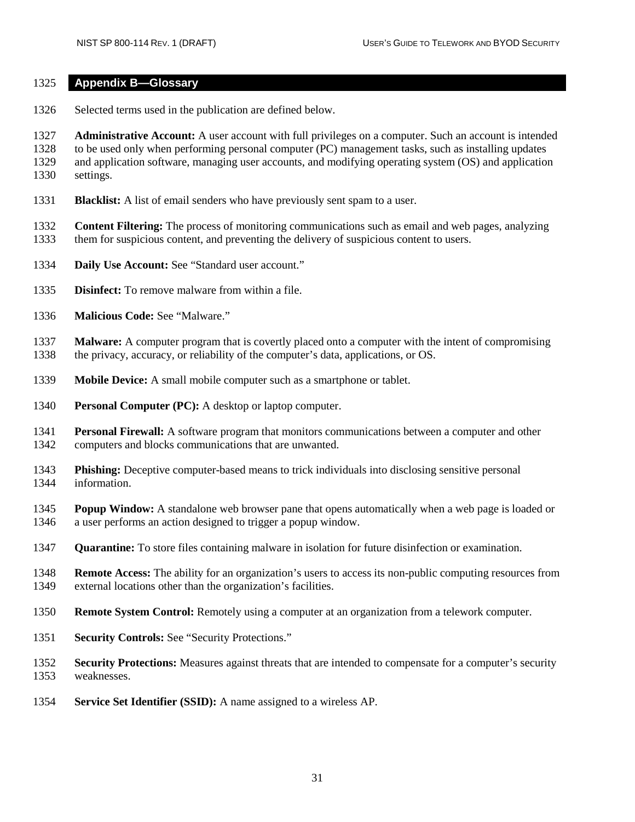#### <span id="page-42-0"></span>**Appendix B—Glossary**

Selected terms used in the publication are defined below.

 **Administrative Account:** A user account with full privileges on a computer. Such an account is intended to be used only when performing personal computer (PC) management tasks, such as installing updates and application software, managing user accounts, and modifying operating system (OS) and application settings.

**Blacklist:** A list of email senders who have previously sent spam to a user.

 **Content Filtering:** The process of monitoring communications such as email and web pages, analyzing them for suspicious content, and preventing the delivery of suspicious content to users.

- **Daily Use Account:** See "Standard user account."
- **Disinfect:** To remove malware from within a file.
- **Malicious Code:** See "Malware."

**Malware:** A computer program that is covertly placed onto a computer with the intent of compromising the privacy, accuracy, or reliability of the computer's data, applications, or OS. the privacy, accuracy, or reliability of the computer's data, applications, or OS.

- **Mobile Device:** A small mobile computer such as a smartphone or tablet.
- **Personal Computer (PC):** A desktop or laptop computer.
- **Personal Firewall:** A software program that monitors communications between a computer and other computers and blocks communications that are unwanted.
- **Phishing:** Deceptive computer-based means to trick individuals into disclosing sensitive personal information.
- **Popup Window:** A standalone web browser pane that opens automatically when a web page is loaded or a user performs an action designed to trigger a popup window.
- **Quarantine:** To store files containing malware in isolation for future disinfection or examination.
- **Remote Access:** The ability for an organization's users to access its non-public computing resources from external locations other than the organization's facilities.
- **Remote System Control:** Remotely using a computer at an organization from a telework computer.
- **Security Controls:** See "Security Protections."
- **Security Protections:** Measures against threats that are intended to compensate for a computer's security weaknesses.
- **Service Set Identifier (SSID):** A name assigned to a wireless AP.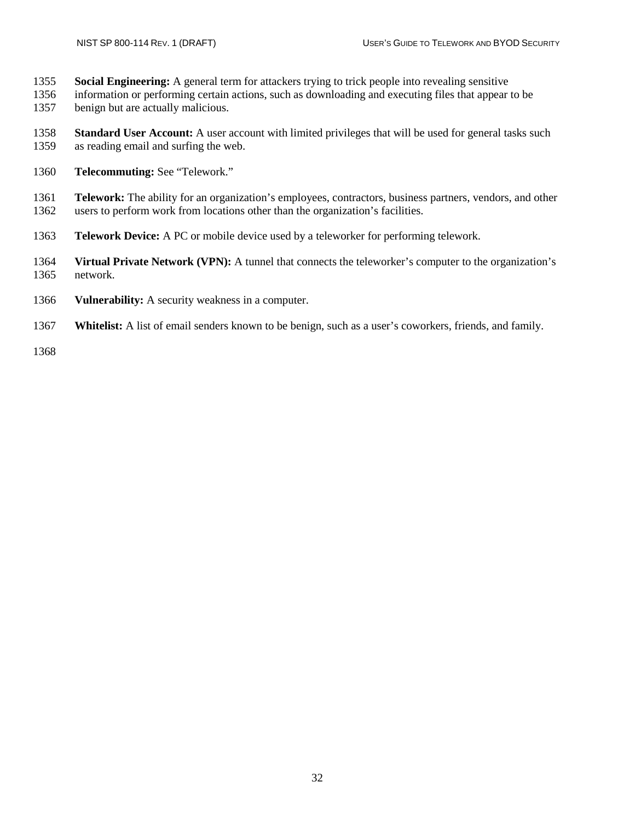- **Social Engineering:** A general term for attackers trying to trick people into revealing sensitive
- information or performing certain actions, such as downloading and executing files that appear to be benign but are actually malicious.
- **Standard User Account:** A user account with limited privileges that will be used for general tasks such as reading email and surfing the web.
- **Telecommuting:** See "Telework."
- **Telework:** The ability for an organization's employees, contractors, business partners, vendors, and other users to perform work from locations other than the organization's facilities.
- **Telework Device:** A PC or mobile device used by a teleworker for performing telework.
- **Virtual Private Network (VPN):** A tunnel that connects the teleworker's computer to the organization's network.
- **Vulnerability:** A security weakness in a computer.
- **Whitelist:** A list of email senders known to be benign, such as a user's coworkers, friends, and family.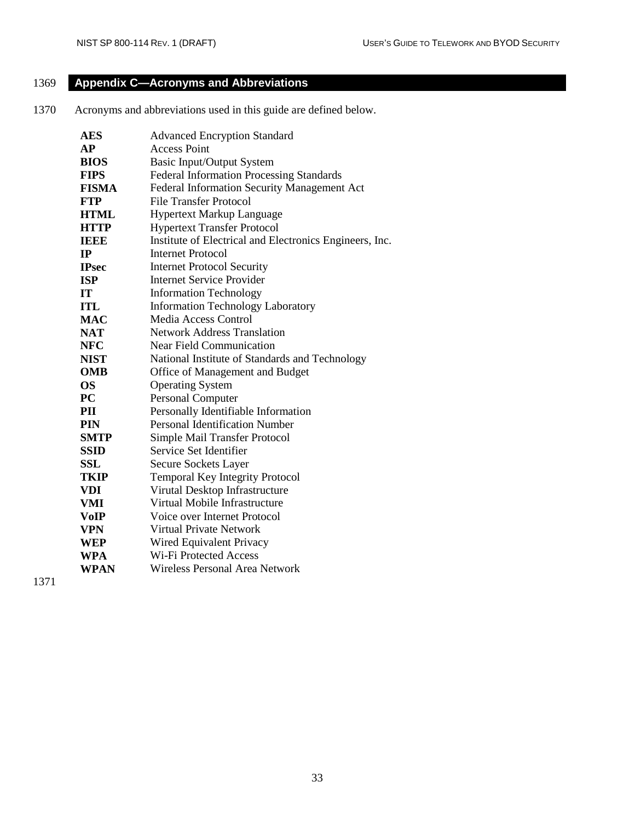# <span id="page-44-0"></span>1369 **Appendix C—Acronyms and Abbreviations**

1370 Acronyms and abbreviations used in this guide are defined below.

| <b>AES</b>   | <b>Advanced Encryption Standard</b>                     |  |
|--------------|---------------------------------------------------------|--|
| AP           | <b>Access Point</b>                                     |  |
| <b>BIOS</b>  | Basic Input/Output System                               |  |
| <b>FIPS</b>  | <b>Federal Information Processing Standards</b>         |  |
| <b>FISMA</b> | Federal Information Security Management Act             |  |
| <b>FTP</b>   | File Transfer Protocol                                  |  |
| <b>HTML</b>  | <b>Hypertext Markup Language</b>                        |  |
| <b>HTTP</b>  | <b>Hypertext Transfer Protocol</b>                      |  |
| <b>IEEE</b>  | Institute of Electrical and Electronics Engineers, Inc. |  |
| IP           | <b>Internet Protocol</b>                                |  |
| <b>IPsec</b> | <b>Internet Protocol Security</b>                       |  |
| <b>ISP</b>   | <b>Internet Service Provider</b>                        |  |
| <b>IT</b>    | <b>Information Technology</b>                           |  |
| ITL          | <b>Information Technology Laboratory</b>                |  |
| <b>MAC</b>   | Media Access Control                                    |  |
| <b>NAT</b>   | <b>Network Address Translation</b>                      |  |
| <b>NFC</b>   | <b>Near Field Communication</b>                         |  |
| <b>NIST</b>  | National Institute of Standards and Technology          |  |
| <b>OMB</b>   | Office of Management and Budget                         |  |
| <b>OS</b>    | <b>Operating System</b>                                 |  |
| PC           | <b>Personal Computer</b>                                |  |
| PII          | Personally Identifiable Information                     |  |
| PIN          | <b>Personal Identification Number</b>                   |  |
| <b>SMTP</b>  | Simple Mail Transfer Protocol                           |  |
| <b>SSID</b>  | Service Set Identifier                                  |  |
| SSL          | Secure Sockets Layer                                    |  |
| TKIP         | <b>Temporal Key Integrity Protocol</b>                  |  |
| <b>VDI</b>   | Virutal Desktop Infrastructure                          |  |
| <b>VMI</b>   | Virtual Mobile Infrastructure                           |  |
| VoIP         | Voice over Internet Protocol                            |  |
| VPN          | Virtual Private Network                                 |  |
| WEP          | Wired Equivalent Privacy                                |  |
| <b>WPA</b>   | <b>Wi-Fi Protected Access</b>                           |  |
| <b>WPAN</b>  | Wireless Personal Area Network                          |  |
|              |                                                         |  |